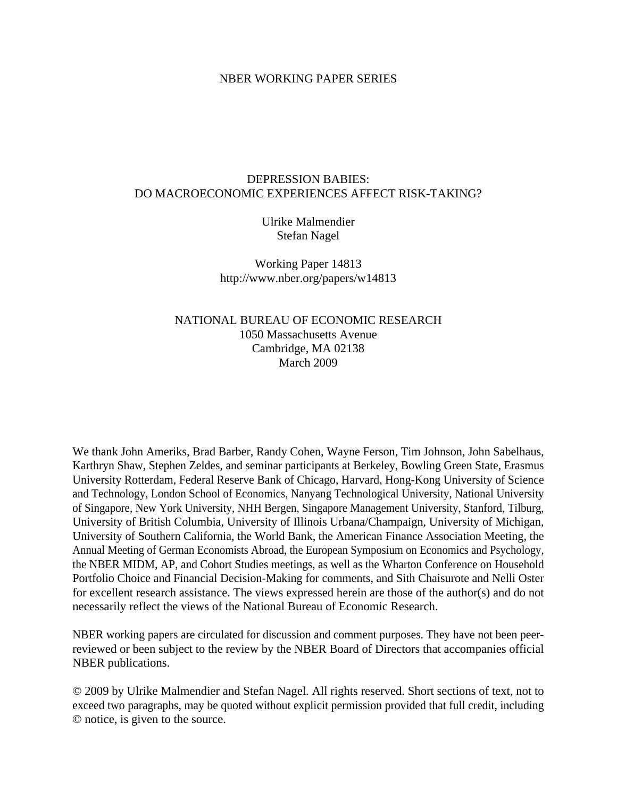# NBER WORKING PAPER SERIES

# DEPRESSION BABIES: DO MACROECONOMIC EXPERIENCES AFFECT RISK-TAKING?

Ulrike Malmendier Stefan Nagel

Working Paper 14813 http://www.nber.org/papers/w14813

# NATIONAL BUREAU OF ECONOMIC RESEARCH 1050 Massachusetts Avenue Cambridge, MA 02138 March 2009

We thank John Ameriks, Brad Barber, Randy Cohen, Wayne Ferson, Tim Johnson, John Sabelhaus, Karthryn Shaw, Stephen Zeldes, and seminar participants at Berkeley, Bowling Green State, Erasmus University Rotterdam, Federal Reserve Bank of Chicago, Harvard, Hong-Kong University of Science and Technology, London School of Economics, Nanyang Technological University, National University of Singapore, New York University, NHH Bergen, Singapore Management University, Stanford, Tilburg, University of British Columbia, University of Illinois Urbana/Champaign, University of Michigan, University of Southern California, the World Bank, the American Finance Association Meeting, the Annual Meeting of German Economists Abroad, the European Symposium on Economics and Psychology, the NBER MIDM, AP, and Cohort Studies meetings, as well as the Wharton Conference on Household Portfolio Choice and Financial Decision-Making for comments, and Sith Chaisurote and Nelli Oster for excellent research assistance. The views expressed herein are those of the author(s) and do not necessarily reflect the views of the National Bureau of Economic Research.

NBER working papers are circulated for discussion and comment purposes. They have not been peerreviewed or been subject to the review by the NBER Board of Directors that accompanies official NBER publications.

© 2009 by Ulrike Malmendier and Stefan Nagel. All rights reserved. Short sections of text, not to exceed two paragraphs, may be quoted without explicit permission provided that full credit, including © notice, is given to the source.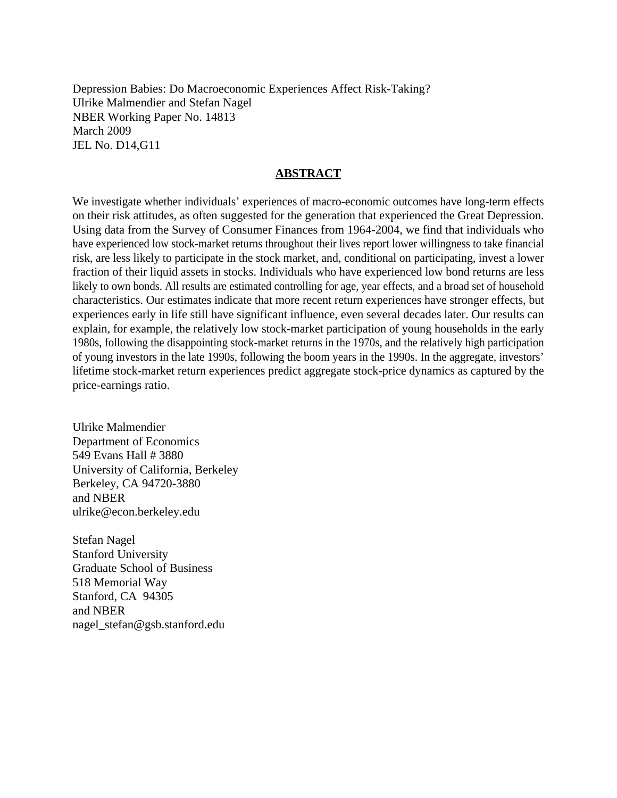Depression Babies: Do Macroeconomic Experiences Affect Risk-Taking? Ulrike Malmendier and Stefan Nagel NBER Working Paper No. 14813 March 2009 JEL No. D14,G11

# **ABSTRACT**

We investigate whether individuals' experiences of macro-economic outcomes have long-term effects on their risk attitudes, as often suggested for the generation that experienced the Great Depression. Using data from the Survey of Consumer Finances from 1964-2004, we find that individuals who have experienced low stock-market returns throughout their lives report lower willingness to take financial risk, are less likely to participate in the stock market, and, conditional on participating, invest a lower fraction of their liquid assets in stocks. Individuals who have experienced low bond returns are less likely to own bonds. All results are estimated controlling for age, year effects, and a broad set of household characteristics. Our estimates indicate that more recent return experiences have stronger effects, but experiences early in life still have significant influence, even several decades later. Our results can explain, for example, the relatively low stock-market participation of young households in the early 1980s, following the disappointing stock-market returns in the 1970s, and the relatively high participation of young investors in the late 1990s, following the boom years in the 1990s. In the aggregate, investors' lifetime stock-market return experiences predict aggregate stock-price dynamics as captured by the price-earnings ratio.

Ulrike Malmendier Department of Economics 549 Evans Hall # 3880 University of California, Berkeley Berkeley, CA 94720-3880 and NBER ulrike@econ.berkeley.edu

Stefan Nagel Stanford University Graduate School of Business 518 Memorial Way Stanford, CA 94305 and NBER nagel\_stefan@gsb.stanford.edu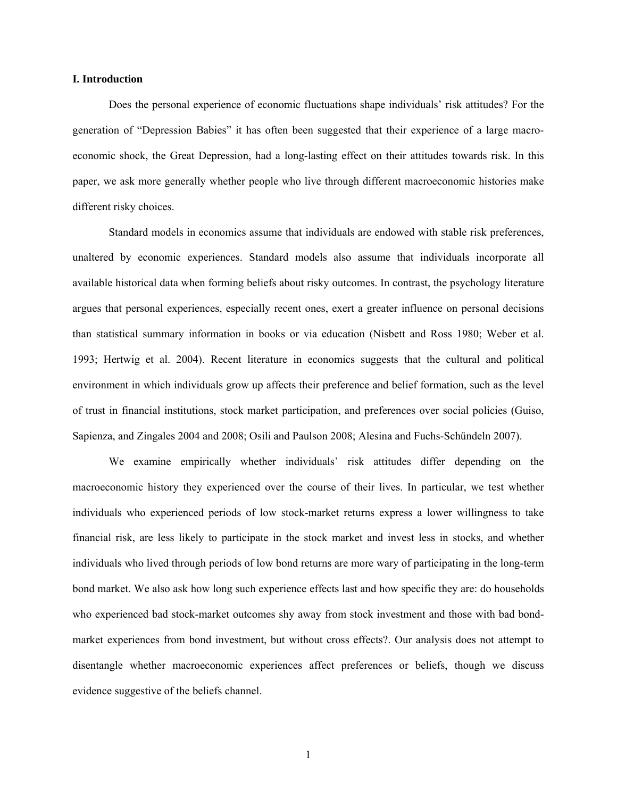### **I. Introduction**

Does the personal experience of economic fluctuations shape individuals' risk attitudes? For the generation of "Depression Babies" it has often been suggested that their experience of a large macroeconomic shock, the Great Depression, had a long-lasting effect on their attitudes towards risk. In this paper, we ask more generally whether people who live through different macroeconomic histories make different risky choices.

Standard models in economics assume that individuals are endowed with stable risk preferences, unaltered by economic experiences. Standard models also assume that individuals incorporate all available historical data when forming beliefs about risky outcomes. In contrast, the psychology literature argues that personal experiences, especially recent ones, exert a greater influence on personal decisions than statistical summary information in books or via education (Nisbett and Ross 1980; Weber et al. 1993; Hertwig et al. 2004). Recent literature in economics suggests that the cultural and political environment in which individuals grow up affects their preference and belief formation, such as the level of trust in financial institutions, stock market participation, and preferences over social policies (Guiso, Sapienza, and Zingales 2004 and 2008; Osili and Paulson 2008; Alesina and Fuchs-Schündeln 2007).

We examine empirically whether individuals' risk attitudes differ depending on the macroeconomic history they experienced over the course of their lives. In particular, we test whether individuals who experienced periods of low stock-market returns express a lower willingness to take financial risk, are less likely to participate in the stock market and invest less in stocks, and whether individuals who lived through periods of low bond returns are more wary of participating in the long-term bond market. We also ask how long such experience effects last and how specific they are: do households who experienced bad stock-market outcomes shy away from stock investment and those with bad bondmarket experiences from bond investment, but without cross effects?. Our analysis does not attempt to disentangle whether macroeconomic experiences affect preferences or beliefs, though we discuss evidence suggestive of the beliefs channel.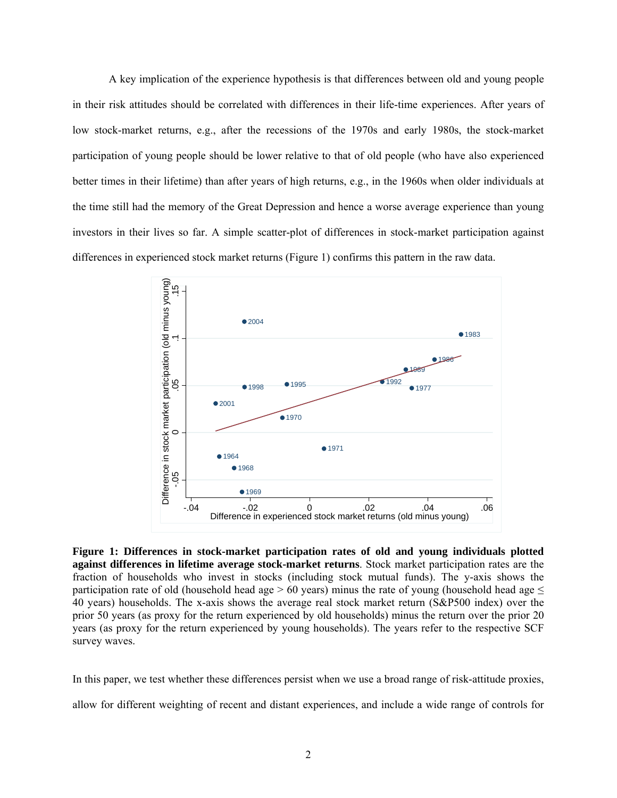A key implication of the experience hypothesis is that differences between old and young people in their risk attitudes should be correlated with differences in their life-time experiences. After years of low stock-market returns, e.g., after the recessions of the 1970s and early 1980s, the stock-market participation of young people should be lower relative to that of old people (who have also experienced better times in their lifetime) than after years of high returns, e.g., in the 1960s when older individuals at the time still had the memory of the Great Depression and hence a worse average experience than young investors in their lives so far. A simple scatter-plot of differences in stock-market participation against differences in experienced stock market returns (Figure 1) confirms this pattern in the raw data.



**Figure 1: Differences in stock-market participation rates of old and young individuals plotted against differences in lifetime average stock-market returns**. Stock market participation rates are the fraction of households who invest in stocks (including stock mutual funds). The y-axis shows the participation rate of old (household head age  $> 60$  years) minus the rate of young (household head age  $\leq$ 40 years) households. The x-axis shows the average real stock market return (S&P500 index) over the prior 50 years (as proxy for the return experienced by old households) minus the return over the prior 20 years (as proxy for the return experienced by young households). The years refer to the respective SCF survey waves.

In this paper, we test whether these differences persist when we use a broad range of risk-attitude proxies,

allow for different weighting of recent and distant experiences, and include a wide range of controls for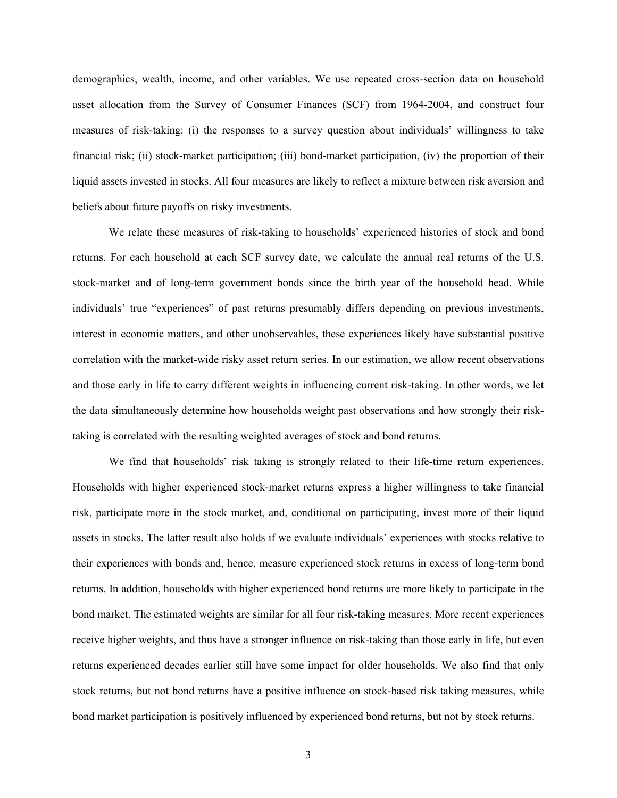demographics, wealth, income, and other variables. We use repeated cross-section data on household asset allocation from the Survey of Consumer Finances (SCF) from 1964-2004, and construct four measures of risk-taking: (i) the responses to a survey question about individuals' willingness to take financial risk; (ii) stock-market participation; (iii) bond-market participation, (iv) the proportion of their liquid assets invested in stocks. All four measures are likely to reflect a mixture between risk aversion and beliefs about future payoffs on risky investments.

We relate these measures of risk-taking to households' experienced histories of stock and bond returns. For each household at each SCF survey date, we calculate the annual real returns of the U.S. stock-market and of long-term government bonds since the birth year of the household head. While individuals' true "experiences" of past returns presumably differs depending on previous investments, interest in economic matters, and other unobservables, these experiences likely have substantial positive correlation with the market-wide risky asset return series. In our estimation, we allow recent observations and those early in life to carry different weights in influencing current risk-taking. In other words, we let the data simultaneously determine how households weight past observations and how strongly their risktaking is correlated with the resulting weighted averages of stock and bond returns.

We find that households' risk taking is strongly related to their life-time return experiences. Households with higher experienced stock-market returns express a higher willingness to take financial risk, participate more in the stock market, and, conditional on participating, invest more of their liquid assets in stocks. The latter result also holds if we evaluate individuals' experiences with stocks relative to their experiences with bonds and, hence, measure experienced stock returns in excess of long-term bond returns. In addition, households with higher experienced bond returns are more likely to participate in the bond market. The estimated weights are similar for all four risk-taking measures. More recent experiences receive higher weights, and thus have a stronger influence on risk-taking than those early in life, but even returns experienced decades earlier still have some impact for older households. We also find that only stock returns, but not bond returns have a positive influence on stock-based risk taking measures, while bond market participation is positively influenced by experienced bond returns, but not by stock returns.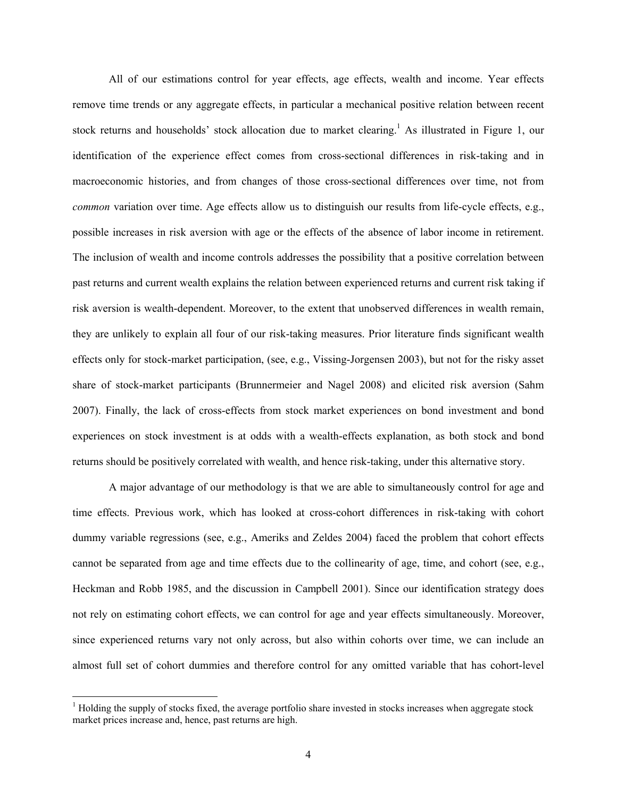All of our estimations control for year effects, age effects, wealth and income. Year effects remove time trends or any aggregate effects, in particular a mechanical positive relation between recent stock returns and households' stock allocation due to market clearing.<sup>1</sup> As illustrated in Figure 1, our identification of the experience effect comes from cross-sectional differences in risk-taking and in macroeconomic histories, and from changes of those cross-sectional differences over time, not from *common* variation over time. Age effects allow us to distinguish our results from life-cycle effects, e.g., possible increases in risk aversion with age or the effects of the absence of labor income in retirement. The inclusion of wealth and income controls addresses the possibility that a positive correlation between past returns and current wealth explains the relation between experienced returns and current risk taking if risk aversion is wealth-dependent. Moreover, to the extent that unobserved differences in wealth remain, they are unlikely to explain all four of our risk-taking measures. Prior literature finds significant wealth effects only for stock-market participation, (see, e.g., Vissing-Jorgensen 2003), but not for the risky asset share of stock-market participants (Brunnermeier and Nagel 2008) and elicited risk aversion (Sahm 2007). Finally, the lack of cross-effects from stock market experiences on bond investment and bond experiences on stock investment is at odds with a wealth-effects explanation, as both stock and bond returns should be positively correlated with wealth, and hence risk-taking, under this alternative story.

A major advantage of our methodology is that we are able to simultaneously control for age and time effects. Previous work, which has looked at cross-cohort differences in risk-taking with cohort dummy variable regressions (see, e.g., Ameriks and Zeldes 2004) faced the problem that cohort effects cannot be separated from age and time effects due to the collinearity of age, time, and cohort (see, e.g., Heckman and Robb 1985, and the discussion in Campbell 2001). Since our identification strategy does not rely on estimating cohort effects, we can control for age and year effects simultaneously. Moreover, since experienced returns vary not only across, but also within cohorts over time, we can include an almost full set of cohort dummies and therefore control for any omitted variable that has cohort-level

 $\overline{a}$ 

<sup>&</sup>lt;sup>1</sup> Holding the supply of stocks fixed, the average portfolio share invested in stocks increases when aggregate stock market prices increase and, hence, past returns are high.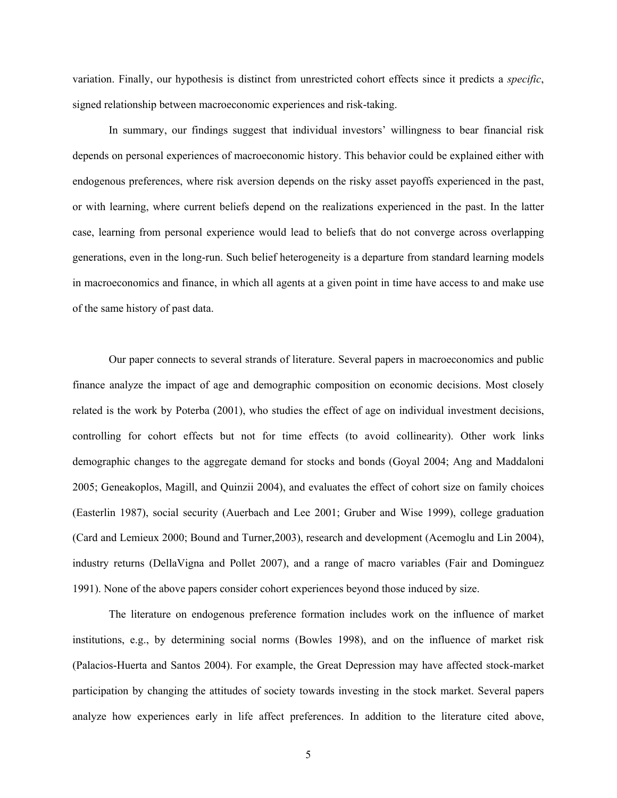variation. Finally, our hypothesis is distinct from unrestricted cohort effects since it predicts a *specific*, signed relationship between macroeconomic experiences and risk-taking.

In summary, our findings suggest that individual investors' willingness to bear financial risk depends on personal experiences of macroeconomic history. This behavior could be explained either with endogenous preferences, where risk aversion depends on the risky asset payoffs experienced in the past, or with learning, where current beliefs depend on the realizations experienced in the past. In the latter case, learning from personal experience would lead to beliefs that do not converge across overlapping generations, even in the long-run. Such belief heterogeneity is a departure from standard learning models in macroeconomics and finance, in which all agents at a given point in time have access to and make use of the same history of past data.

Our paper connects to several strands of literature. Several papers in macroeconomics and public finance analyze the impact of age and demographic composition on economic decisions. Most closely related is the work by Poterba (2001), who studies the effect of age on individual investment decisions, controlling for cohort effects but not for time effects (to avoid collinearity). Other work links demographic changes to the aggregate demand for stocks and bonds (Goyal 2004; Ang and Maddaloni 2005; Geneakoplos, Magill, and Quinzii 2004), and evaluates the effect of cohort size on family choices (Easterlin 1987), social security (Auerbach and Lee 2001; Gruber and Wise 1999), college graduation (Card and Lemieux 2000; Bound and Turner,2003), research and development (Acemoglu and Lin 2004), industry returns (DellaVigna and Pollet 2007), and a range of macro variables (Fair and Dominguez 1991). None of the above papers consider cohort experiences beyond those induced by size.

The literature on endogenous preference formation includes work on the influence of market institutions, e.g., by determining social norms (Bowles 1998), and on the influence of market risk (Palacios-Huerta and Santos 2004). For example, the Great Depression may have affected stock-market participation by changing the attitudes of society towards investing in the stock market. Several papers analyze how experiences early in life affect preferences. In addition to the literature cited above,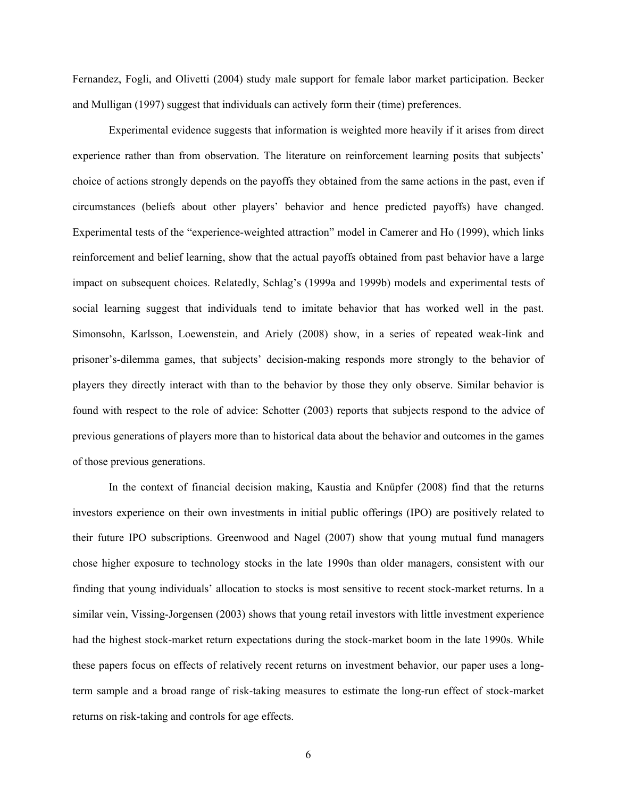Fernandez, Fogli, and Olivetti (2004) study male support for female labor market participation. Becker and Mulligan (1997) suggest that individuals can actively form their (time) preferences.

Experimental evidence suggests that information is weighted more heavily if it arises from direct experience rather than from observation. The literature on reinforcement learning posits that subjects' choice of actions strongly depends on the payoffs they obtained from the same actions in the past, even if circumstances (beliefs about other players' behavior and hence predicted payoffs) have changed. Experimental tests of the "experience-weighted attraction" model in Camerer and Ho (1999), which links reinforcement and belief learning, show that the actual payoffs obtained from past behavior have a large impact on subsequent choices. Relatedly, Schlag's (1999a and 1999b) models and experimental tests of social learning suggest that individuals tend to imitate behavior that has worked well in the past. Simonsohn, Karlsson, Loewenstein, and Ariely (2008) show, in a series of repeated weak-link and prisoner's-dilemma games, that subjects' decision-making responds more strongly to the behavior of players they directly interact with than to the behavior by those they only observe. Similar behavior is found with respect to the role of advice: Schotter (2003) reports that subjects respond to the advice of previous generations of players more than to historical data about the behavior and outcomes in the games of those previous generations.

In the context of financial decision making, Kaustia and Knüpfer (2008) find that the returns investors experience on their own investments in initial public offerings (IPO) are positively related to their future IPO subscriptions. Greenwood and Nagel (2007) show that young mutual fund managers chose higher exposure to technology stocks in the late 1990s than older managers, consistent with our finding that young individuals' allocation to stocks is most sensitive to recent stock-market returns. In a similar vein, Vissing-Jorgensen (2003) shows that young retail investors with little investment experience had the highest stock-market return expectations during the stock-market boom in the late 1990s. While these papers focus on effects of relatively recent returns on investment behavior, our paper uses a longterm sample and a broad range of risk-taking measures to estimate the long-run effect of stock-market returns on risk-taking and controls for age effects.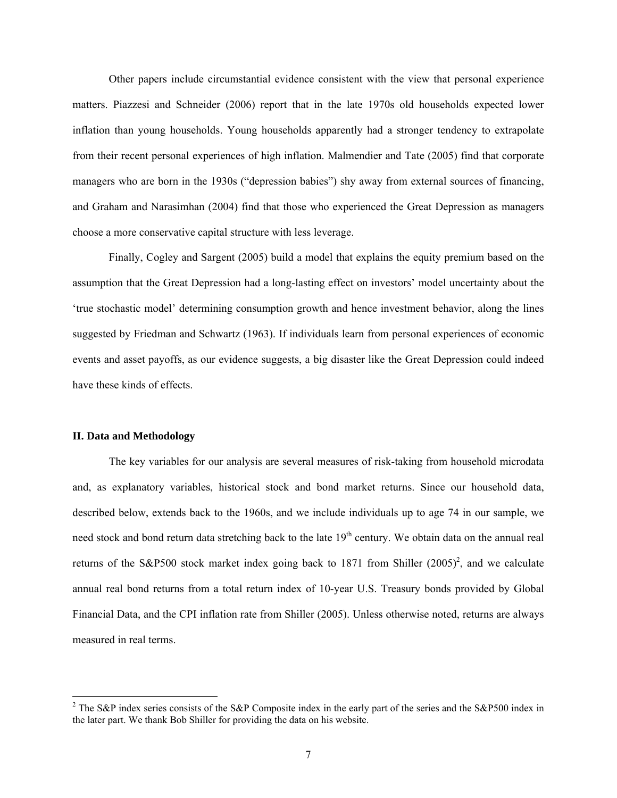Other papers include circumstantial evidence consistent with the view that personal experience matters. Piazzesi and Schneider (2006) report that in the late 1970s old households expected lower inflation than young households. Young households apparently had a stronger tendency to extrapolate from their recent personal experiences of high inflation. Malmendier and Tate (2005) find that corporate managers who are born in the 1930s ("depression babies") shy away from external sources of financing, and Graham and Narasimhan (2004) find that those who experienced the Great Depression as managers choose a more conservative capital structure with less leverage.

Finally, Cogley and Sargent (2005) build a model that explains the equity premium based on the assumption that the Great Depression had a long-lasting effect on investors' model uncertainty about the 'true stochastic model' determining consumption growth and hence investment behavior, along the lines suggested by Friedman and Schwartz (1963). If individuals learn from personal experiences of economic events and asset payoffs, as our evidence suggests, a big disaster like the Great Depression could indeed have these kinds of effects.

#### **II. Data and Methodology**

The key variables for our analysis are several measures of risk-taking from household microdata and, as explanatory variables, historical stock and bond market returns. Since our household data, described below, extends back to the 1960s, and we include individuals up to age 74 in our sample, we need stock and bond return data stretching back to the late 19<sup>th</sup> century. We obtain data on the annual real returns of the S&P500 stock market index going back to 1871 from Shiller  $(2005)^2$ , and we calculate annual real bond returns from a total return index of 10-year U.S. Treasury bonds provided by Global Financial Data, and the CPI inflation rate from Shiller (2005). Unless otherwise noted, returns are always measured in real terms.

<sup>&</sup>lt;sup>2</sup> The S&P index series consists of the S&P Composite index in the early part of the series and the S&P500 index in the later part. We thank Bob Shiller for providing the data on his website.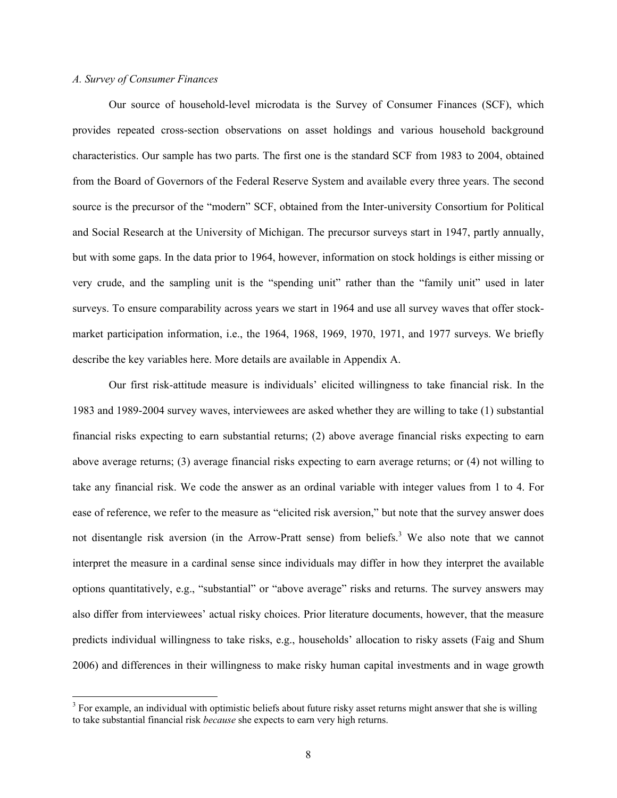## *A. Survey of Consumer Finances*

 $\overline{a}$ 

Our source of household-level microdata is the Survey of Consumer Finances (SCF), which provides repeated cross-section observations on asset holdings and various household background characteristics. Our sample has two parts. The first one is the standard SCF from 1983 to 2004, obtained from the Board of Governors of the Federal Reserve System and available every three years. The second source is the precursor of the "modern" SCF, obtained from the Inter-university Consortium for Political and Social Research at the University of Michigan. The precursor surveys start in 1947, partly annually, but with some gaps. In the data prior to 1964, however, information on stock holdings is either missing or very crude, and the sampling unit is the "spending unit" rather than the "family unit" used in later surveys. To ensure comparability across years we start in 1964 and use all survey waves that offer stockmarket participation information, i.e., the 1964, 1968, 1969, 1970, 1971, and 1977 surveys. We briefly describe the key variables here. More details are available in Appendix A.

Our first risk-attitude measure is individuals' elicited willingness to take financial risk. In the 1983 and 1989-2004 survey waves, interviewees are asked whether they are willing to take (1) substantial financial risks expecting to earn substantial returns; (2) above average financial risks expecting to earn above average returns; (3) average financial risks expecting to earn average returns; or (4) not willing to take any financial risk. We code the answer as an ordinal variable with integer values from 1 to 4. For ease of reference, we refer to the measure as "elicited risk aversion," but note that the survey answer does not disentangle risk aversion (in the Arrow-Pratt sense) from beliefs.<sup>3</sup> We also note that we cannot interpret the measure in a cardinal sense since individuals may differ in how they interpret the available options quantitatively, e.g., "substantial" or "above average" risks and returns. The survey answers may also differ from interviewees' actual risky choices. Prior literature documents, however, that the measure predicts individual willingness to take risks, e.g., households' allocation to risky assets (Faig and Shum 2006) and differences in their willingness to make risky human capital investments and in wage growth

 $3$  For example, an individual with optimistic beliefs about future risky asset returns might answer that she is willing to take substantial financial risk *because* she expects to earn very high returns.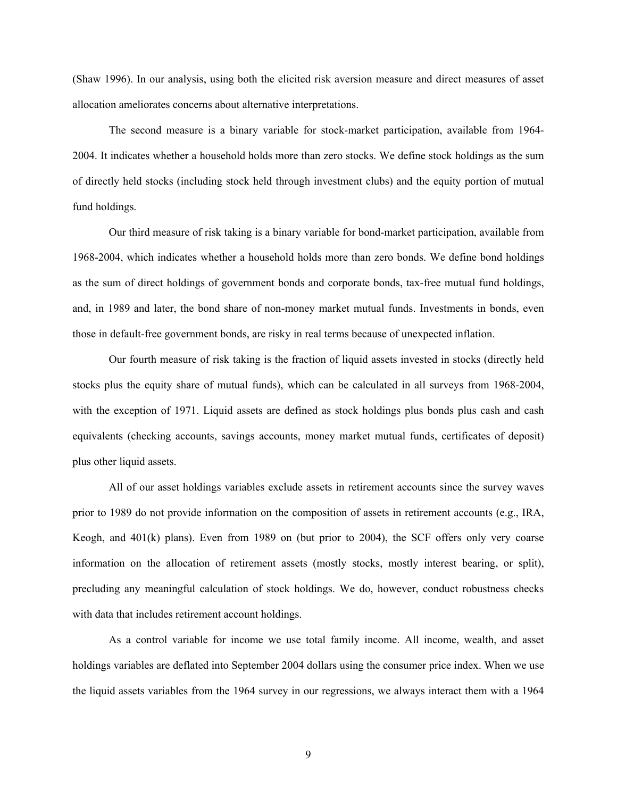(Shaw 1996). In our analysis, using both the elicited risk aversion measure and direct measures of asset allocation ameliorates concerns about alternative interpretations.

The second measure is a binary variable for stock-market participation, available from 1964- 2004. It indicates whether a household holds more than zero stocks. We define stock holdings as the sum of directly held stocks (including stock held through investment clubs) and the equity portion of mutual fund holdings.

Our third measure of risk taking is a binary variable for bond-market participation, available from 1968-2004, which indicates whether a household holds more than zero bonds. We define bond holdings as the sum of direct holdings of government bonds and corporate bonds, tax-free mutual fund holdings, and, in 1989 and later, the bond share of non-money market mutual funds. Investments in bonds, even those in default-free government bonds, are risky in real terms because of unexpected inflation.

Our fourth measure of risk taking is the fraction of liquid assets invested in stocks (directly held stocks plus the equity share of mutual funds), which can be calculated in all surveys from 1968-2004, with the exception of 1971. Liquid assets are defined as stock holdings plus bonds plus cash and cash equivalents (checking accounts, savings accounts, money market mutual funds, certificates of deposit) plus other liquid assets.

All of our asset holdings variables exclude assets in retirement accounts since the survey waves prior to 1989 do not provide information on the composition of assets in retirement accounts (e.g., IRA, Keogh, and 401(k) plans). Even from 1989 on (but prior to 2004), the SCF offers only very coarse information on the allocation of retirement assets (mostly stocks, mostly interest bearing, or split), precluding any meaningful calculation of stock holdings. We do, however, conduct robustness checks with data that includes retirement account holdings.

As a control variable for income we use total family income. All income, wealth, and asset holdings variables are deflated into September 2004 dollars using the consumer price index. When we use the liquid assets variables from the 1964 survey in our regressions, we always interact them with a 1964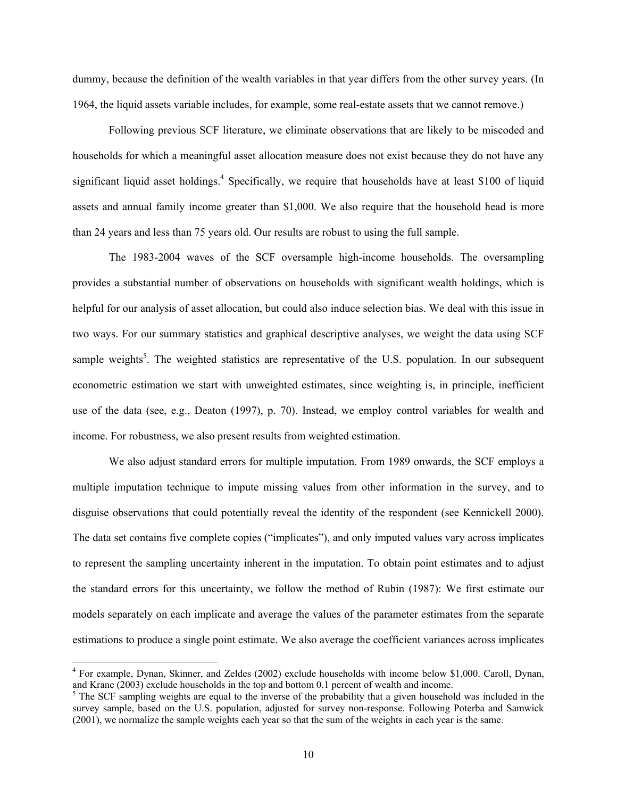dummy, because the definition of the wealth variables in that year differs from the other survey years. (In 1964, the liquid assets variable includes, for example, some real-estate assets that we cannot remove.)

Following previous SCF literature, we eliminate observations that are likely to be miscoded and households for which a meaningful asset allocation measure does not exist because they do not have any significant liquid asset holdings.<sup>4</sup> Specifically, we require that households have at least \$100 of liquid assets and annual family income greater than \$1,000. We also require that the household head is more than 24 years and less than 75 years old. Our results are robust to using the full sample.

The 1983-2004 waves of the SCF oversample high-income households. The oversampling provides a substantial number of observations on households with significant wealth holdings, which is helpful for our analysis of asset allocation, but could also induce selection bias. We deal with this issue in two ways. For our summary statistics and graphical descriptive analyses, we weight the data using SCF sample weights<sup>5</sup>. The weighted statistics are representative of the U.S. population. In our subsequent econometric estimation we start with unweighted estimates, since weighting is, in principle, inefficient use of the data (see, e.g., Deaton (1997), p. 70). Instead, we employ control variables for wealth and income. For robustness, we also present results from weighted estimation.

We also adjust standard errors for multiple imputation. From 1989 onwards, the SCF employs a multiple imputation technique to impute missing values from other information in the survey, and to disguise observations that could potentially reveal the identity of the respondent (see Kennickell 2000). The data set contains five complete copies ("implicates"), and only imputed values vary across implicates to represent the sampling uncertainty inherent in the imputation. To obtain point estimates and to adjust the standard errors for this uncertainty, we follow the method of Rubin (1987): We first estimate our models separately on each implicate and average the values of the parameter estimates from the separate estimations to produce a single point estimate. We also average the coefficient variances across implicates

 $\overline{a}$ 

<sup>&</sup>lt;sup>4</sup> For example, Dynan, Skinner, and Zeldes (2002) exclude households with income below \$1,000. Caroll, Dynan, and Krane (2003) exclude households in the top and bottom 0.1 percent of wealth and income.

<sup>&</sup>lt;sup>5</sup> The SCF sampling weights are equal to the inverse of the probability that a given household was included in the survey sample, based on the U.S. population, adjusted for survey non-response. Following Poterba and Samwick (2001), we normalize the sample weights each year so that the sum of the weights in each year is the same.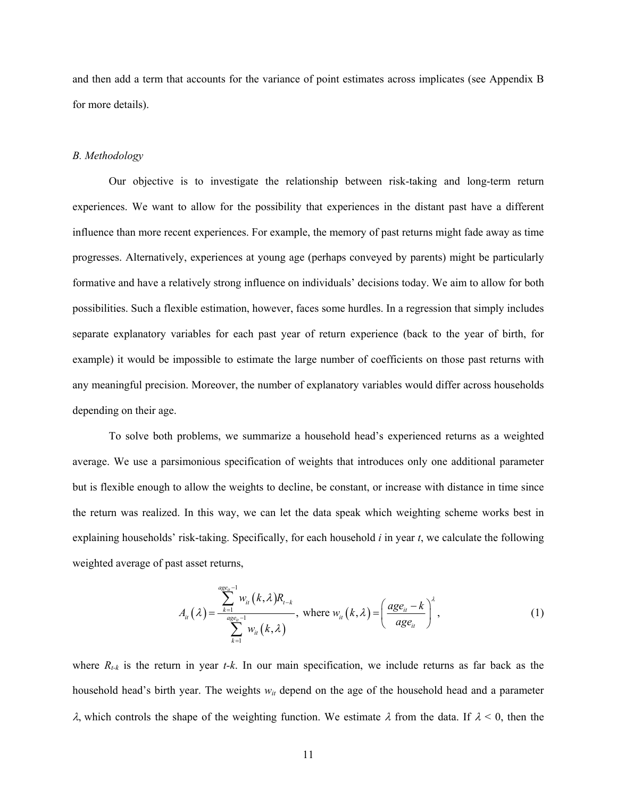and then add a term that accounts for the variance of point estimates across implicates (see Appendix B for more details).

### *B. Methodology*

Our objective is to investigate the relationship between risk-taking and long-term return experiences. We want to allow for the possibility that experiences in the distant past have a different influence than more recent experiences. For example, the memory of past returns might fade away as time progresses. Alternatively, experiences at young age (perhaps conveyed by parents) might be particularly formative and have a relatively strong influence on individuals' decisions today. We aim to allow for both possibilities. Such a flexible estimation, however, faces some hurdles. In a regression that simply includes separate explanatory variables for each past year of return experience (back to the year of birth, for example) it would be impossible to estimate the large number of coefficients on those past returns with any meaningful precision. Moreover, the number of explanatory variables would differ across households depending on their age.

To solve both problems, we summarize a household head's experienced returns as a weighted average. We use a parsimonious specification of weights that introduces only one additional parameter but is flexible enough to allow the weights to decline, be constant, or increase with distance in time since the return was realized. In this way, we can let the data speak which weighting scheme works best in explaining households' risk-taking. Specifically, for each household *i* in year *t*, we calculate the following weighted average of past asset returns,

$$
A_{ii}(\lambda) = \frac{\sum_{k=1}^{a_{ge_{ii}}-1} w_{ii}(k,\lambda) R_{t-k}}{\sum_{k=1}^{a_{ge_{ii}}-1} w_{ii}(k,\lambda)}, \text{ where } w_{ii}(k,\lambda) = \left(\frac{age_{ii} - k}{age_{ii}}\right)^{\lambda}, \qquad (1)
$$

where  $R_{t-k}$  is the return in year  $t-k$ . In our main specification, we include returns as far back as the household head's birth year. The weights *wit* depend on the age of the household head and a parameter λ, which controls the shape of the weighting function. We estimate λ from the data. If λ < 0, then the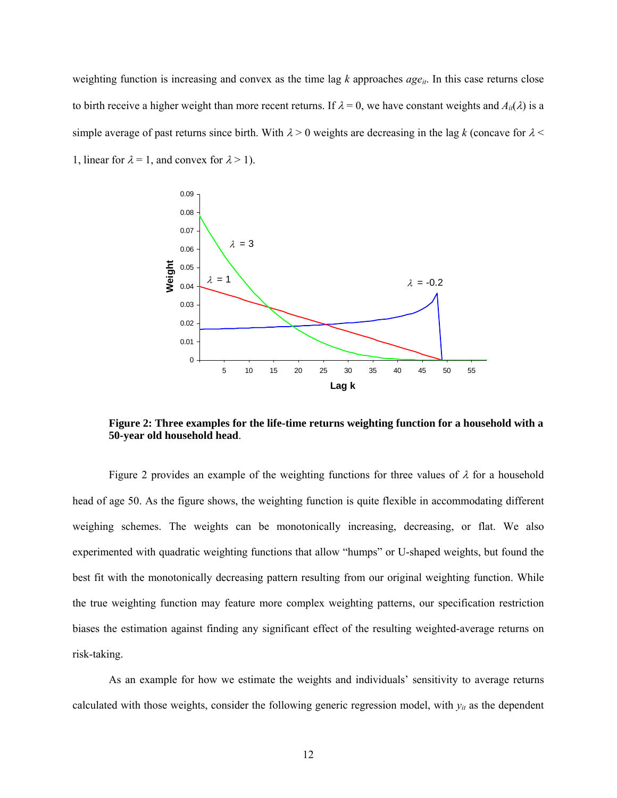weighting function is increasing and convex as the time lag  $k$  approaches  $age_{it}$ . In this case returns close to birth receive a higher weight than more recent returns. If  $\lambda = 0$ , we have constant weights and  $A_{i}( \lambda )$  is a simple average of past returns since birth. With  $\lambda > 0$  weights are decreasing in the lag k (concave for  $\lambda <$ 1, linear for  $\lambda = 1$ , and convex for  $\lambda > 1$ ).



**Figure 2: Three examples for the life-time returns weighting function for a household with a 50-year old household head**.

Figure 2 provides an example of the weighting functions for three values of  $\lambda$  for a household head of age 50. As the figure shows, the weighting function is quite flexible in accommodating different weighing schemes. The weights can be monotonically increasing, decreasing, or flat. We also experimented with quadratic weighting functions that allow "humps" or U-shaped weights, but found the best fit with the monotonically decreasing pattern resulting from our original weighting function. While the true weighting function may feature more complex weighting patterns, our specification restriction biases the estimation against finding any significant effect of the resulting weighted-average returns on risk-taking.

As an example for how we estimate the weights and individuals' sensitivity to average returns calculated with those weights, consider the following generic regression model, with  $y_{it}$  as the dependent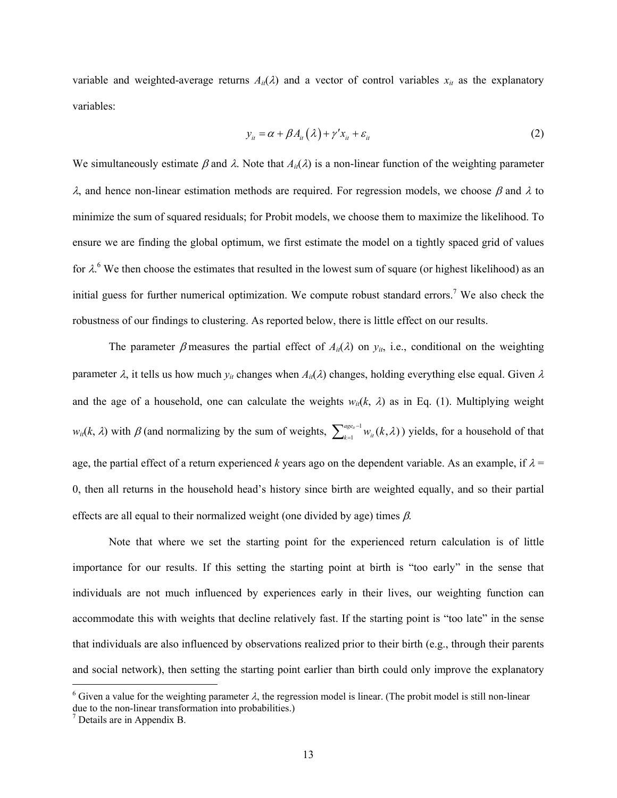variable and weighted-average returns  $A_{it}(\lambda)$  and a vector of control variables  $x_{it}$  as the explanatory variables:

$$
y_{ii} = \alpha + \beta A_{ii}(\lambda) + \gamma' x_{ii} + \varepsilon_{ii}
$$
 (2)

We simultaneously estimate  $\beta$  and  $\lambda$ . Note that  $A_{ii}(\lambda)$  is a non-linear function of the weighting parameter <sup>λ</sup>, and hence non-linear estimation methods are required. For regression models, we choose β and λ to minimize the sum of squared residuals; for Probit models, we choose them to maximize the likelihood. To ensure we are finding the global optimum, we first estimate the model on a tightly spaced grid of values for  $\lambda$ <sup>6</sup>. We then choose the estimates that resulted in the lowest sum of square (or highest likelihood) as an initial guess for further numerical optimization. We compute robust standard errors.<sup>7</sup> We also check the robustness of our findings to clustering. As reported below, there is little effect on our results.

The parameter  $\beta$  measures the partial effect of  $A_{ii}(\lambda)$  on  $y_{it}$ , i.e., conditional on the weighting parameter  $\lambda$ , it tells us how much  $y_{it}$  changes when  $A_{it}(\lambda)$  changes, holding everything else equal. Given  $\lambda$ and the age of a household, one can calculate the weights  $w_{i}(k, \lambda)$  as in Eq. (1). Multiplying weight  $w_{it}(k, \lambda)$  with  $\beta$  (and normalizing by the sum of weights,  $\sum_{k=1}^{age_{it}-1}$  $\int_{k=1}^{age_n-1} w_n(k,\lambda)$ ) yields, for a household of that age, the partial effect of a return experienced *k* years ago on the dependent variable. As an example, if  $\lambda$  = 0, then all returns in the household head's history since birth are weighted equally, and so their partial effects are all equal to their normalized weight (one divided by age) times  $\beta$ .

Note that where we set the starting point for the experienced return calculation is of little importance for our results. If this setting the starting point at birth is "too early" in the sense that individuals are not much influenced by experiences early in their lives, our weighting function can accommodate this with weights that decline relatively fast. If the starting point is "too late" in the sense that individuals are also influenced by observations realized prior to their birth (e.g., through their parents and social network), then setting the starting point earlier than birth could only improve the explanatory

 $\overline{a}$ 

<sup>&</sup>lt;sup>6</sup> Given a value for the weighting parameter  $\lambda$ , the regression model is linear. (The probit model is still non-linear due to the non-linear transformation into probabilities.)

 $<sup>7</sup>$  Details are in Appendix B.</sup>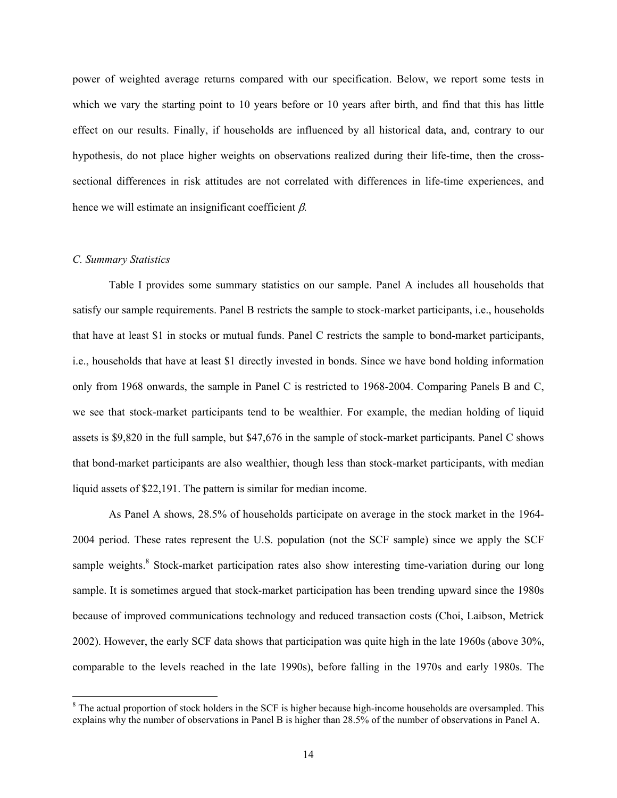power of weighted average returns compared with our specification. Below, we report some tests in which we vary the starting point to 10 years before or 10 years after birth, and find that this has little effect on our results. Finally, if households are influenced by all historical data, and, contrary to our hypothesis, do not place higher weights on observations realized during their life-time, then the crosssectional differences in risk attitudes are not correlated with differences in life-time experiences, and hence we will estimate an insignificant coefficient  $\beta$ .

### *C. Summary Statistics*

 $\overline{a}$ 

Table I provides some summary statistics on our sample. Panel A includes all households that satisfy our sample requirements. Panel B restricts the sample to stock-market participants, i.e., households that have at least \$1 in stocks or mutual funds. Panel C restricts the sample to bond-market participants, i.e., households that have at least \$1 directly invested in bonds. Since we have bond holding information only from 1968 onwards, the sample in Panel C is restricted to 1968-2004. Comparing Panels B and C, we see that stock-market participants tend to be wealthier. For example, the median holding of liquid assets is \$9,820 in the full sample, but \$47,676 in the sample of stock-market participants. Panel C shows that bond-market participants are also wealthier, though less than stock-market participants, with median liquid assets of \$22,191. The pattern is similar for median income.

As Panel A shows, 28.5% of households participate on average in the stock market in the 1964- 2004 period. These rates represent the U.S. population (not the SCF sample) since we apply the SCF sample weights.<sup>8</sup> Stock-market participation rates also show interesting time-variation during our long sample. It is sometimes argued that stock-market participation has been trending upward since the 1980s because of improved communications technology and reduced transaction costs (Choi, Laibson, Metrick 2002). However, the early SCF data shows that participation was quite high in the late 1960s (above 30%, comparable to the levels reached in the late 1990s), before falling in the 1970s and early 1980s. The

 $8$  The actual proportion of stock holders in the SCF is higher because high-income households are oversampled. This explains why the number of observations in Panel B is higher than 28.5% of the number of observations in Panel A.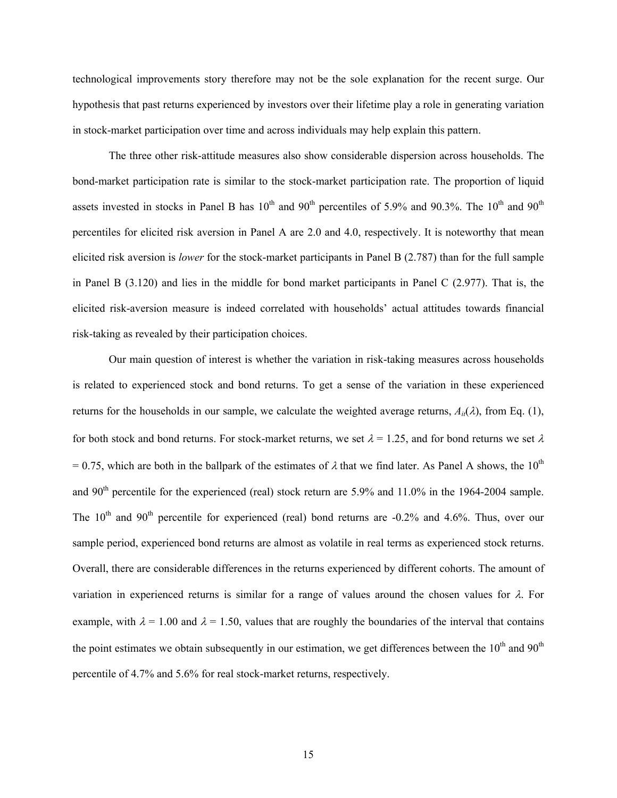technological improvements story therefore may not be the sole explanation for the recent surge. Our hypothesis that past returns experienced by investors over their lifetime play a role in generating variation in stock-market participation over time and across individuals may help explain this pattern.

The three other risk-attitude measures also show considerable dispersion across households. The bond-market participation rate is similar to the stock-market participation rate. The proportion of liquid assets invested in stocks in Panel B has  $10^{th}$  and  $90^{th}$  percentiles of 5.9% and 90.3%. The  $10^{th}$  and  $90^{th}$ percentiles for elicited risk aversion in Panel A are 2.0 and 4.0, respectively. It is noteworthy that mean elicited risk aversion is *lower* for the stock-market participants in Panel B (2.787) than for the full sample in Panel B (3.120) and lies in the middle for bond market participants in Panel C (2.977). That is, the elicited risk-aversion measure is indeed correlated with households' actual attitudes towards financial risk-taking as revealed by their participation choices.

Our main question of interest is whether the variation in risk-taking measures across households is related to experienced stock and bond returns. To get a sense of the variation in these experienced returns for the households in our sample, we calculate the weighted average returns,  $A_i(\lambda)$ , from Eq. (1), for both stock and bond returns. For stock-market returns, we set  $\lambda = 1.25$ , and for bond returns we set  $\lambda$ = 0.75, which are both in the ballpark of the estimates of  $\lambda$  that we find later. As Panel A shows, the 10<sup>th</sup> and 90<sup>th</sup> percentile for the experienced (real) stock return are 5.9% and 11.0% in the 1964-2004 sample. The  $10<sup>th</sup>$  and  $90<sup>th</sup>$  percentile for experienced (real) bond returns are -0.2% and 4.6%. Thus, over our sample period, experienced bond returns are almost as volatile in real terms as experienced stock returns. Overall, there are considerable differences in the returns experienced by different cohorts. The amount of variation in experienced returns is similar for a range of values around the chosen values for  $\lambda$ . For example, with  $\lambda = 1.00$  and  $\lambda = 1.50$ , values that are roughly the boundaries of the interval that contains the point estimates we obtain subsequently in our estimation, we get differences between the  $10<sup>th</sup>$  and  $90<sup>th</sup>$ percentile of 4.7% and 5.6% for real stock-market returns, respectively.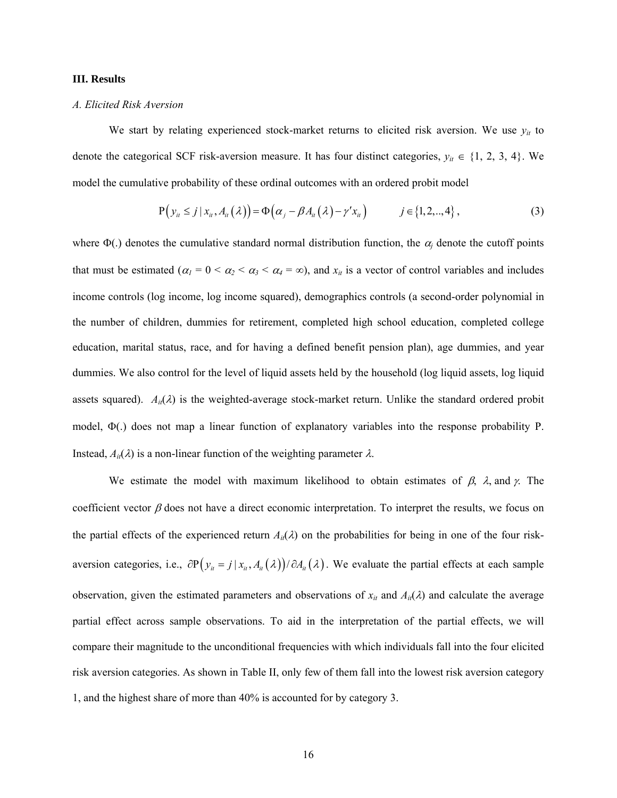### **III. Results**

# *A. Elicited Risk Aversion*

We start by relating experienced stock-market returns to elicited risk aversion. We use  $y_{it}$  to denote the categorical SCF risk-aversion measure. It has four distinct categories,  $y_{it} \in \{1, 2, 3, 4\}$ . We model the cumulative probability of these ordinal outcomes with an ordered probit model

$$
P(y_{ii} \leq j \mid x_{ii}, A_{ii}(\lambda)) = \Phi(\alpha_j - \beta A_{ii}(\lambda) - \gamma' x_{ii}) \qquad j \in \{1, 2, \ldots, 4\},
$$
\n(3)

where  $\Phi(.)$  denotes the cumulative standard normal distribution function, the  $\alpha_j$  denote the cutoff points that must be estimated ( $\alpha_1 = 0 < \alpha_2 < \alpha_3 < \alpha_4 = \infty$ ), and  $x_{it}$  is a vector of control variables and includes income controls (log income, log income squared), demographics controls (a second-order polynomial in the number of children, dummies for retirement, completed high school education, completed college education, marital status, race, and for having a defined benefit pension plan), age dummies, and year dummies. We also control for the level of liquid assets held by the household (log liquid assets, log liquid assets squared).  $A_{ii}(\lambda)$  is the weighted-average stock-market return. Unlike the standard ordered probit model, Φ(.) does not map a linear function of explanatory variables into the response probability P. Instead,  $A_{ii}(\lambda)$  is a non-linear function of the weighting parameter  $\lambda$ .

We estimate the model with maximum likelihood to obtain estimates of  $\beta$ ,  $\lambda$ , and  $\gamma$ . The coefficient vector  $\beta$  does not have a direct economic interpretation. To interpret the results, we focus on the partial effects of the experienced return  $A_{ii}(\lambda)$  on the probabilities for being in one of the four riskaversion categories, i.e.,  $\partial P(y_i = j | x_i, A_i(\lambda)) / \partial A_i(\lambda)$ . We evaluate the partial effects at each sample observation, given the estimated parameters and observations of  $x_{it}$  and  $A_{it}(\lambda)$  and calculate the average partial effect across sample observations. To aid in the interpretation of the partial effects, we will compare their magnitude to the unconditional frequencies with which individuals fall into the four elicited risk aversion categories. As shown in Table II, only few of them fall into the lowest risk aversion category 1, and the highest share of more than 40% is accounted for by category 3.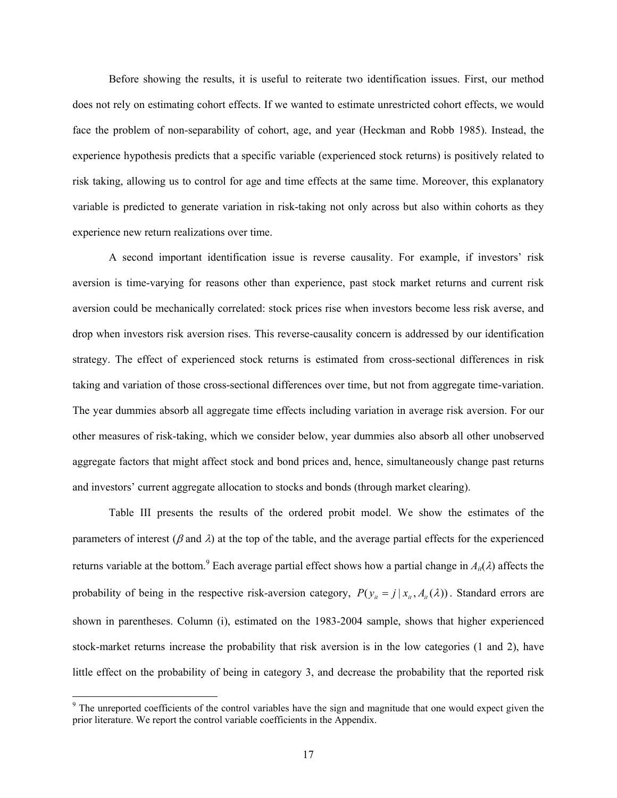Before showing the results, it is useful to reiterate two identification issues. First, our method does not rely on estimating cohort effects. If we wanted to estimate unrestricted cohort effects, we would face the problem of non-separability of cohort, age, and year (Heckman and Robb 1985). Instead, the experience hypothesis predicts that a specific variable (experienced stock returns) is positively related to risk taking, allowing us to control for age and time effects at the same time. Moreover, this explanatory variable is predicted to generate variation in risk-taking not only across but also within cohorts as they experience new return realizations over time.

A second important identification issue is reverse causality. For example, if investors' risk aversion is time-varying for reasons other than experience, past stock market returns and current risk aversion could be mechanically correlated: stock prices rise when investors become less risk averse, and drop when investors risk aversion rises. This reverse-causality concern is addressed by our identification strategy. The effect of experienced stock returns is estimated from cross-sectional differences in risk taking and variation of those cross-sectional differences over time, but not from aggregate time-variation. The year dummies absorb all aggregate time effects including variation in average risk aversion. For our other measures of risk-taking, which we consider below, year dummies also absorb all other unobserved aggregate factors that might affect stock and bond prices and, hence, simultaneously change past returns and investors' current aggregate allocation to stocks and bonds (through market clearing).

Table III presents the results of the ordered probit model. We show the estimates of the parameters of interest ( $\beta$  and  $\lambda$ ) at the top of the table, and the average partial effects for the experienced returns variable at the bottom.<sup>9</sup> Each average partial effect shows how a partial change in  $A_{it}(\lambda)$  affects the probability of being in the respective risk-aversion category,  $P(y_{i} = j | x_{i}, A_{i}(\lambda))$ . Standard errors are shown in parentheses. Column (i), estimated on the 1983-2004 sample, shows that higher experienced stock-market returns increase the probability that risk aversion is in the low categories (1 and 2), have little effect on the probability of being in category 3, and decrease the probability that the reported risk

 $\overline{a}$ 

<sup>&</sup>lt;sup>9</sup> The unreported coefficients of the control variables have the sign and magnitude that one would expect given the prior literature. We report the control variable coefficients in the Appendix.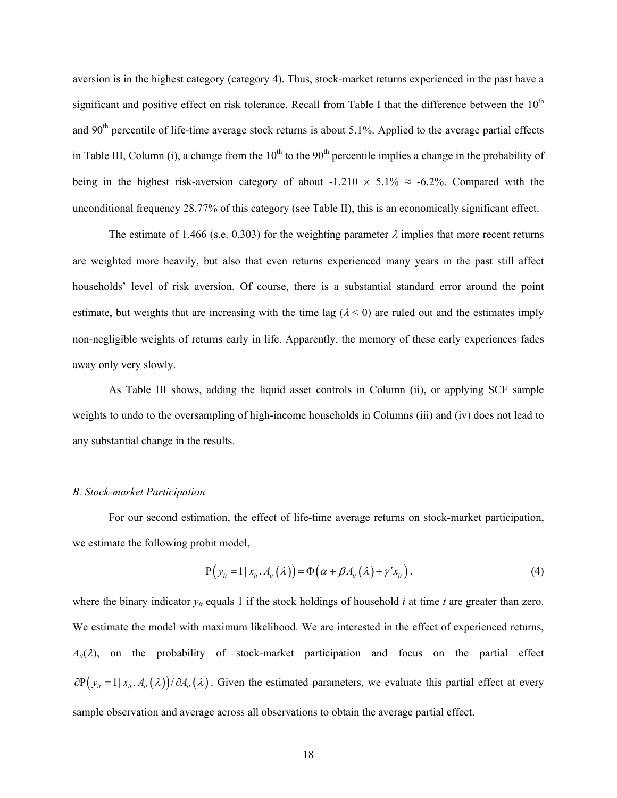aversion is in the highest category (category 4). Thus, stock-market returns experienced in the past have a significant and positive effect on risk tolerance. Recall from Table I that the difference between the 10<sup>th</sup> and 90<sup>th</sup> percentile of life-time average stock returns is about 5.1%. Applied to the average partial effects in Table III, Column (i), a change from the  $10<sup>th</sup>$  to the  $90<sup>th</sup>$  percentile implies a change in the probability of being in the highest risk-aversion category of about -1.210  $\times$  5.1%  $\approx$  -6.2%. Compared with the unconditional frequency 28.77% of this category (see Table II), this is an economically significant effect.

The estimate of 1.466 (s.e. 0.303) for the weighting parameter  $\lambda$  implies that more recent returns are weighted more heavily, but also that even returns experienced many years in the past still affect households' level of risk aversion. Of course, there is a substantial standard error around the point estimate, but weights that are increasing with the time lag  $(\lambda < 0)$  are ruled out and the estimates imply non-negligible weights of returns early in life. Apparently, the memory of these early experiences fades away only very slowly.

As Table III shows, adding the liquid asset controls in Column (ii), or applying SCF sample weights to undo to the oversampling of high-income households in Columns (iii) and (iv) does not lead to any substantial change in the results.

### *B. Stock-market Participation*

For our second estimation, the effect of life-time average returns on stock-market participation, we estimate the following probit model,

$$
P(y_{ii} = 1 | x_{ii}, A_{ii}(\lambda)) = \Phi(\alpha + \beta A_{ii}(\lambda) + \gamma' x_{ii}),
$$
\n(4)

where the binary indicator  $y_{it}$  equals 1 if the stock holdings of household  $i$  at time  $t$  are greater than zero. We estimate the model with maximum likelihood. We are interested in the effect of experienced returns,  $A_{it}(\lambda)$ , on the probability of stock-market participation and focus on the partial effect  $\partial P(y_i = 1 | x_i, A_i(\lambda))/\partial A_i(\lambda)$ . Given the estimated parameters, we evaluate this partial effect at every sample observation and average across all observations to obtain the average partial effect.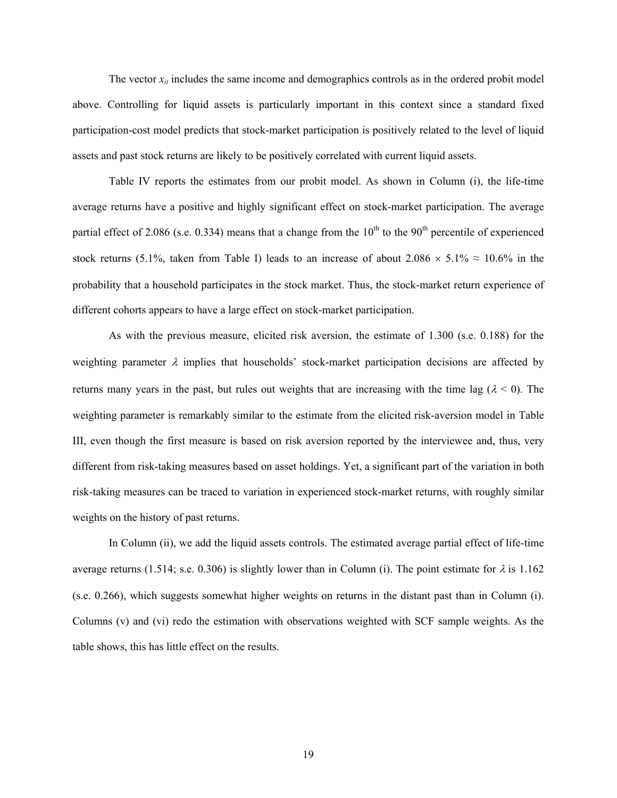The vector  $x_{it}$  includes the same income and demographics controls as in the ordered probit model above. Controlling for liquid assets is particularly important in this context since a standard fixed participation-cost model predicts that stock-market participation is positively related to the level of liquid assets and past stock returns are likely to be positively correlated with current liquid assets.

Table IV reports the estimates from our probit model. As shown in Column (i), the life-time average returns have a positive and highly significant effect on stock-market participation. The average partial effect of 2.086 (s.e. 0.334) means that a change from the  $10<sup>th</sup>$  to the  $90<sup>th</sup>$  percentile of experienced stock returns (5.1%, taken from Table I) leads to an increase of about  $2.086 \times 5.1\% \approx 10.6\%$  in the probability that a household participates in the stock market. Thus, the stock-market return experience of different cohorts appears to have a large effect on stock-market participation.

As with the previous measure, elicited risk aversion, the estimate of 1.300 (s.e. 0.188) for the weighting parameter  $\lambda$  implies that households' stock-market participation decisions are affected by returns many years in the past, but rules out weights that are increasing with the time lag ( $\lambda$  < 0). The weighting parameter is remarkably similar to the estimate from the elicited risk-aversion model in Table III, even though the first measure is based on risk aversion reported by the interviewee and, thus, very different from risk-taking measures based on asset holdings. Yet, a significant part of the variation in both risk-taking measures can be traced to variation in experienced stock-market returns, with roughly similar weights on the history of past returns.

In Column (ii), we add the liquid assets controls. The estimated average partial effect of life-time average returns (1.514; s.e. 0.306) is slightly lower than in Column (i). The point estimate for  $\lambda$  is 1.162 (s.e. 0.266), which suggests somewhat higher weights on returns in the distant past than in Column (i). Columns (v) and (vi) redo the estimation with observations weighted with SCF sample weights. As the table shows, this has little effect on the results.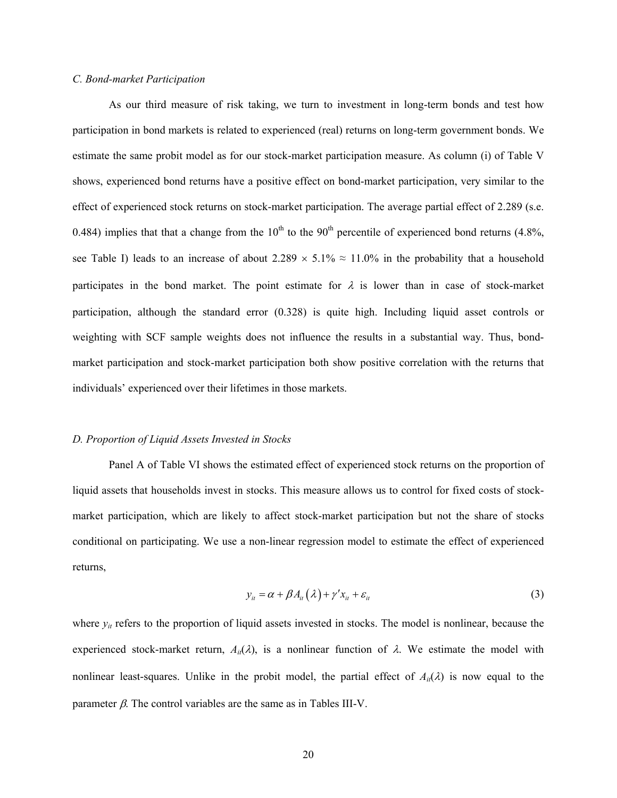## *C. Bond-market Participation*

As our third measure of risk taking, we turn to investment in long-term bonds and test how participation in bond markets is related to experienced (real) returns on long-term government bonds. We estimate the same probit model as for our stock-market participation measure. As column (i) of Table V shows, experienced bond returns have a positive effect on bond-market participation, very similar to the effect of experienced stock returns on stock-market participation. The average partial effect of 2.289 (s.e. 0.484) implies that that a change from the 10<sup>th</sup> to the 90<sup>th</sup> percentile of experienced bond returns (4.8%, see Table I) leads to an increase of about  $2.289 \times 5.1\% \approx 11.0\%$  in the probability that a household participates in the bond market. The point estimate for  $\lambda$  is lower than in case of stock-market participation, although the standard error (0.328) is quite high. Including liquid asset controls or weighting with SCF sample weights does not influence the results in a substantial way. Thus, bondmarket participation and stock-market participation both show positive correlation with the returns that individuals' experienced over their lifetimes in those markets.

### *D. Proportion of Liquid Assets Invested in Stocks*

Panel A of Table VI shows the estimated effect of experienced stock returns on the proportion of liquid assets that households invest in stocks. This measure allows us to control for fixed costs of stockmarket participation, which are likely to affect stock-market participation but not the share of stocks conditional on participating. We use a non-linear regression model to estimate the effect of experienced returns,

$$
y_{it} = \alpha + \beta A_{it}(\lambda) + \gamma' x_{it} + \varepsilon_{it}
$$
\n(3)

where  $y_{it}$  refers to the proportion of liquid assets invested in stocks. The model is nonlinear, because the experienced stock-market return,  $A_{ii}(\lambda)$ , is a nonlinear function of  $\lambda$ . We estimate the model with nonlinear least-squares. Unlike in the probit model, the partial effect of  $A_{ii}(\lambda)$  is now equal to the parameter β. The control variables are the same as in Tables III-V.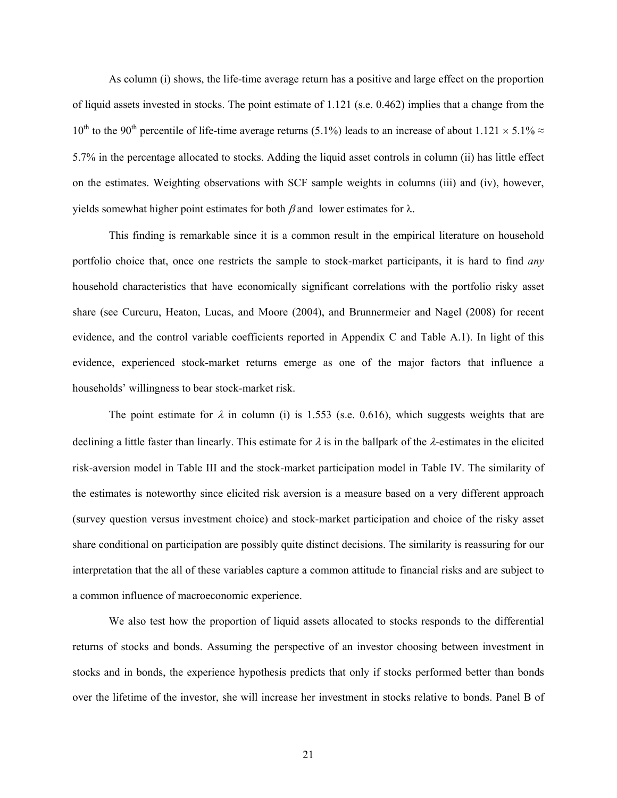As column (i) shows, the life-time average return has a positive and large effect on the proportion of liquid assets invested in stocks. The point estimate of 1.121 (s.e. 0.462) implies that a change from the 10<sup>th</sup> to the 90<sup>th</sup> percentile of life-time average returns (5.1%) leads to an increase of about 1.121 × 5.1%  $\approx$ 5.7% in the percentage allocated to stocks. Adding the liquid asset controls in column (ii) has little effect on the estimates. Weighting observations with SCF sample weights in columns (iii) and (iv), however, yields somewhat higher point estimates for both  $β$  and lower estimates for  $λ$ .

This finding is remarkable since it is a common result in the empirical literature on household portfolio choice that, once one restricts the sample to stock-market participants, it is hard to find *any* household characteristics that have economically significant correlations with the portfolio risky asset share (see Curcuru, Heaton, Lucas, and Moore (2004), and Brunnermeier and Nagel (2008) for recent evidence, and the control variable coefficients reported in Appendix C and Table A.1). In light of this evidence, experienced stock-market returns emerge as one of the major factors that influence a households' willingness to bear stock-market risk.

The point estimate for  $\lambda$  in column (i) is 1.553 (s.e. 0.616), which suggests weights that are declining a little faster than linearly. This estimate for  $\lambda$  is in the ballpark of the  $\lambda$ -estimates in the elicited risk-aversion model in Table III and the stock-market participation model in Table IV. The similarity of the estimates is noteworthy since elicited risk aversion is a measure based on a very different approach (survey question versus investment choice) and stock-market participation and choice of the risky asset share conditional on participation are possibly quite distinct decisions. The similarity is reassuring for our interpretation that the all of these variables capture a common attitude to financial risks and are subject to a common influence of macroeconomic experience.

We also test how the proportion of liquid assets allocated to stocks responds to the differential returns of stocks and bonds. Assuming the perspective of an investor choosing between investment in stocks and in bonds, the experience hypothesis predicts that only if stocks performed better than bonds over the lifetime of the investor, she will increase her investment in stocks relative to bonds. Panel B of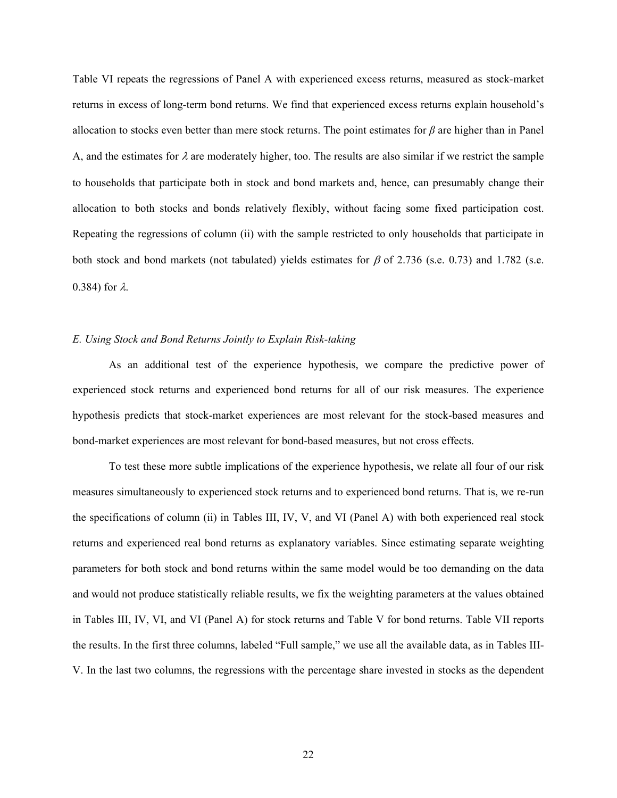Table VI repeats the regressions of Panel A with experienced excess returns, measured as stock-market returns in excess of long-term bond returns. We find that experienced excess returns explain household's allocation to stocks even better than mere stock returns. The point estimates for *β* are higher than in Panel A, and the estimates for  $\lambda$  are moderately higher, too. The results are also similar if we restrict the sample to households that participate both in stock and bond markets and, hence, can presumably change their allocation to both stocks and bonds relatively flexibly, without facing some fixed participation cost. Repeating the regressions of column (ii) with the sample restricted to only households that participate in both stock and bond markets (not tabulated) yields estimates for  $\beta$  of 2.736 (s.e. 0.73) and 1.782 (s.e. 0.384) for λ.

## *E. Using Stock and Bond Returns Jointly to Explain Risk-taking*

As an additional test of the experience hypothesis, we compare the predictive power of experienced stock returns and experienced bond returns for all of our risk measures. The experience hypothesis predicts that stock-market experiences are most relevant for the stock-based measures and bond-market experiences are most relevant for bond-based measures, but not cross effects.

To test these more subtle implications of the experience hypothesis, we relate all four of our risk measures simultaneously to experienced stock returns and to experienced bond returns. That is, we re-run the specifications of column (ii) in Tables III, IV, V, and VI (Panel A) with both experienced real stock returns and experienced real bond returns as explanatory variables. Since estimating separate weighting parameters for both stock and bond returns within the same model would be too demanding on the data and would not produce statistically reliable results, we fix the weighting parameters at the values obtained in Tables III, IV, VI, and VI (Panel A) for stock returns and Table V for bond returns. Table VII reports the results. In the first three columns, labeled "Full sample," we use all the available data, as in Tables III-V. In the last two columns, the regressions with the percentage share invested in stocks as the dependent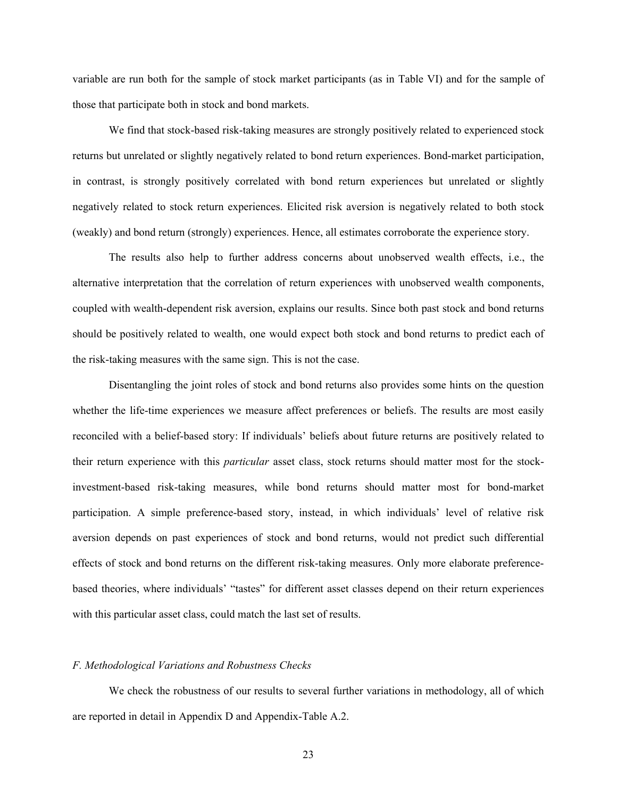variable are run both for the sample of stock market participants (as in Table VI) and for the sample of those that participate both in stock and bond markets.

We find that stock-based risk-taking measures are strongly positively related to experienced stock returns but unrelated or slightly negatively related to bond return experiences. Bond-market participation, in contrast, is strongly positively correlated with bond return experiences but unrelated or slightly negatively related to stock return experiences. Elicited risk aversion is negatively related to both stock (weakly) and bond return (strongly) experiences. Hence, all estimates corroborate the experience story.

The results also help to further address concerns about unobserved wealth effects, i.e., the alternative interpretation that the correlation of return experiences with unobserved wealth components, coupled with wealth-dependent risk aversion, explains our results. Since both past stock and bond returns should be positively related to wealth, one would expect both stock and bond returns to predict each of the risk-taking measures with the same sign. This is not the case.

Disentangling the joint roles of stock and bond returns also provides some hints on the question whether the life-time experiences we measure affect preferences or beliefs. The results are most easily reconciled with a belief-based story: If individuals' beliefs about future returns are positively related to their return experience with this *particular* asset class, stock returns should matter most for the stockinvestment-based risk-taking measures, while bond returns should matter most for bond-market participation. A simple preference-based story, instead, in which individuals' level of relative risk aversion depends on past experiences of stock and bond returns, would not predict such differential effects of stock and bond returns on the different risk-taking measures. Only more elaborate preferencebased theories, where individuals' "tastes" for different asset classes depend on their return experiences with this particular asset class, could match the last set of results.

### *F. Methodological Variations and Robustness Checks*

We check the robustness of our results to several further variations in methodology, all of which are reported in detail in Appendix D and Appendix-Table A.2.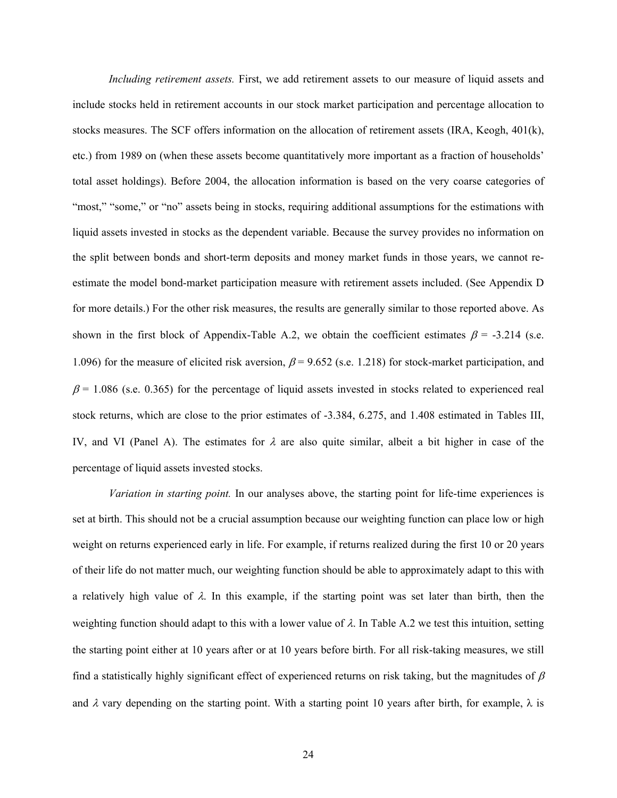*Including retirement assets.* First, we add retirement assets to our measure of liquid assets and include stocks held in retirement accounts in our stock market participation and percentage allocation to stocks measures. The SCF offers information on the allocation of retirement assets (IRA, Keogh, 401(k), etc.) from 1989 on (when these assets become quantitatively more important as a fraction of households' total asset holdings). Before 2004, the allocation information is based on the very coarse categories of "most," "some," or "no" assets being in stocks, requiring additional assumptions for the estimations with liquid assets invested in stocks as the dependent variable. Because the survey provides no information on the split between bonds and short-term deposits and money market funds in those years, we cannot reestimate the model bond-market participation measure with retirement assets included. (See Appendix D for more details.) For the other risk measures, the results are generally similar to those reported above. As shown in the first block of Appendix-Table A.2, we obtain the coefficient estimates  $\beta$  = -3.214 (s.e. 1.096) for the measure of elicited risk aversion,  $\beta$  = 9.652 (s.e. 1.218) for stock-market participation, and  $\beta$  = 1.086 (s.e. 0.365) for the percentage of liquid assets invested in stocks related to experienced real stock returns, which are close to the prior estimates of -3.384, 6.275, and 1.408 estimated in Tables III, IV, and VI (Panel A). The estimates for  $\lambda$  are also quite similar, albeit a bit higher in case of the percentage of liquid assets invested stocks.

*Variation in starting point.* In our analyses above, the starting point for life-time experiences is set at birth. This should not be a crucial assumption because our weighting function can place low or high weight on returns experienced early in life. For example, if returns realized during the first 10 or 20 years of their life do not matter much, our weighting function should be able to approximately adapt to this with a relatively high value of  $\lambda$ . In this example, if the starting point was set later than birth, then the weighting function should adapt to this with a lower value of  $\lambda$ . In Table A.2 we test this intuition, setting the starting point either at 10 years after or at 10 years before birth. For all risk-taking measures, we still find a statistically highly significant effect of experienced returns on risk taking, but the magnitudes of  $\beta$ and  $\lambda$  vary depending on the starting point. With a starting point 10 years after birth, for example,  $\lambda$  is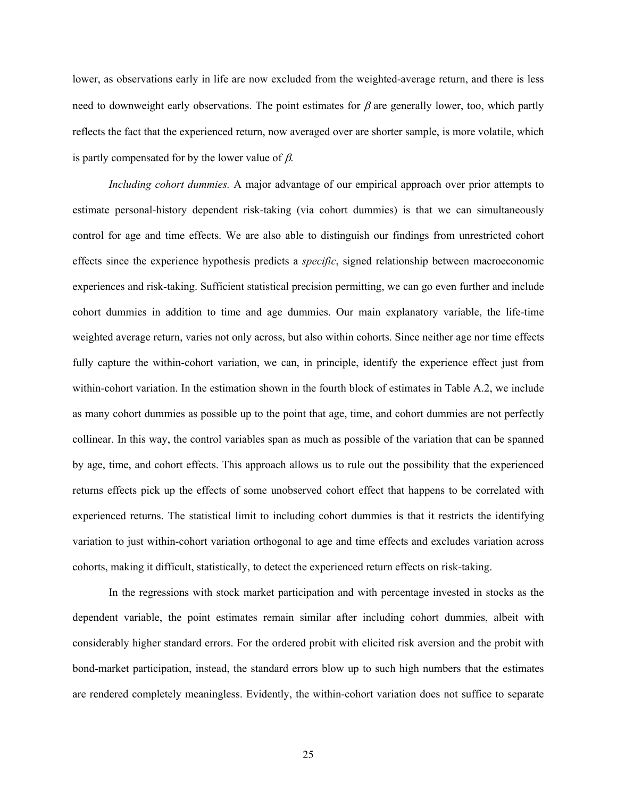lower, as observations early in life are now excluded from the weighted-average return, and there is less need to downweight early observations. The point estimates for  $\beta$  are generally lower, too, which partly reflects the fact that the experienced return, now averaged over are shorter sample, is more volatile, which is partly compensated for by the lower value of  $\beta$ .

*Including cohort dummies.* A major advantage of our empirical approach over prior attempts to estimate personal-history dependent risk-taking (via cohort dummies) is that we can simultaneously control for age and time effects. We are also able to distinguish our findings from unrestricted cohort effects since the experience hypothesis predicts a *specific*, signed relationship between macroeconomic experiences and risk-taking. Sufficient statistical precision permitting, we can go even further and include cohort dummies in addition to time and age dummies. Our main explanatory variable, the life-time weighted average return, varies not only across, but also within cohorts. Since neither age nor time effects fully capture the within-cohort variation, we can, in principle, identify the experience effect just from within-cohort variation. In the estimation shown in the fourth block of estimates in Table A.2, we include as many cohort dummies as possible up to the point that age, time, and cohort dummies are not perfectly collinear. In this way, the control variables span as much as possible of the variation that can be spanned by age, time, and cohort effects. This approach allows us to rule out the possibility that the experienced returns effects pick up the effects of some unobserved cohort effect that happens to be correlated with experienced returns. The statistical limit to including cohort dummies is that it restricts the identifying variation to just within-cohort variation orthogonal to age and time effects and excludes variation across cohorts, making it difficult, statistically, to detect the experienced return effects on risk-taking.

In the regressions with stock market participation and with percentage invested in stocks as the dependent variable, the point estimates remain similar after including cohort dummies, albeit with considerably higher standard errors. For the ordered probit with elicited risk aversion and the probit with bond-market participation, instead, the standard errors blow up to such high numbers that the estimates are rendered completely meaningless. Evidently, the within-cohort variation does not suffice to separate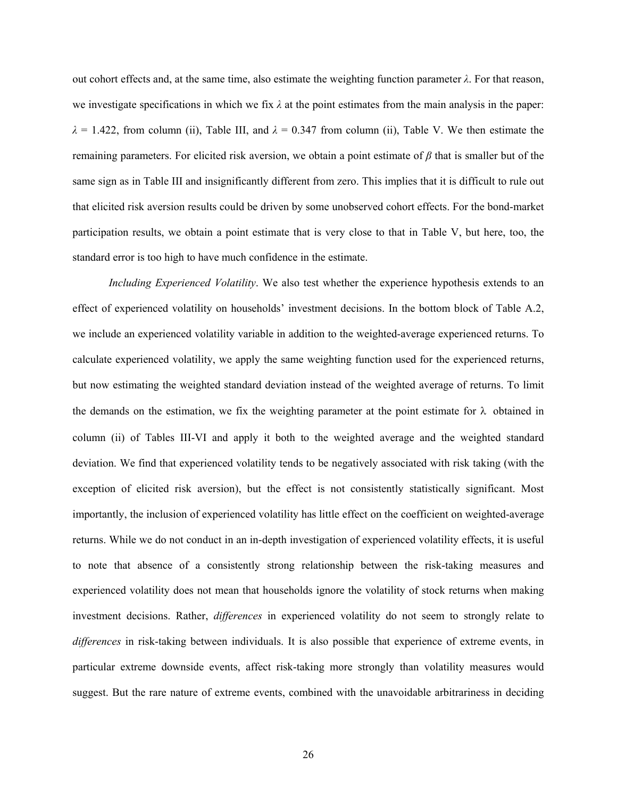out cohort effects and, at the same time, also estimate the weighting function parameter *λ*. For that reason, we investigate specifications in which we fix  $\lambda$  at the point estimates from the main analysis in the paper:  $\lambda = 1.422$ , from column (ii), Table III, and  $\lambda = 0.347$  from column (ii), Table V. We then estimate the remaining parameters. For elicited risk aversion, we obtain a point estimate of *β* that is smaller but of the same sign as in Table III and insignificantly different from zero. This implies that it is difficult to rule out that elicited risk aversion results could be driven by some unobserved cohort effects. For the bond-market participation results, we obtain a point estimate that is very close to that in Table V, but here, too, the standard error is too high to have much confidence in the estimate.

*Including Experienced Volatility*. We also test whether the experience hypothesis extends to an effect of experienced volatility on households' investment decisions. In the bottom block of Table A.2, we include an experienced volatility variable in addition to the weighted-average experienced returns. To calculate experienced volatility, we apply the same weighting function used for the experienced returns, but now estimating the weighted standard deviation instead of the weighted average of returns. To limit the demands on the estimation, we fix the weighting parameter at the point estimate for  $\lambda$  obtained in column (ii) of Tables III-VI and apply it both to the weighted average and the weighted standard deviation. We find that experienced volatility tends to be negatively associated with risk taking (with the exception of elicited risk aversion), but the effect is not consistently statistically significant. Most importantly, the inclusion of experienced volatility has little effect on the coefficient on weighted-average returns. While we do not conduct in an in-depth investigation of experienced volatility effects, it is useful to note that absence of a consistently strong relationship between the risk-taking measures and experienced volatility does not mean that households ignore the volatility of stock returns when making investment decisions. Rather, *differences* in experienced volatility do not seem to strongly relate to *differences* in risk-taking between individuals. It is also possible that experience of extreme events, in particular extreme downside events, affect risk-taking more strongly than volatility measures would suggest. But the rare nature of extreme events, combined with the unavoidable arbitrariness in deciding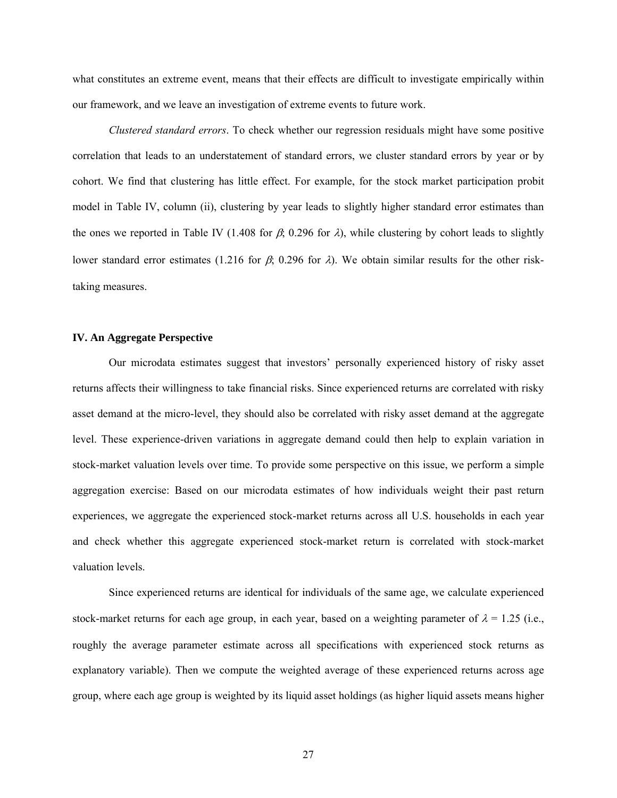what constitutes an extreme event, means that their effects are difficult to investigate empirically within our framework, and we leave an investigation of extreme events to future work.

*Clustered standard errors*. To check whether our regression residuals might have some positive correlation that leads to an understatement of standard errors, we cluster standard errors by year or by cohort. We find that clustering has little effect. For example, for the stock market participation probit model in Table IV, column (ii), clustering by year leads to slightly higher standard error estimates than the ones we reported in Table IV (1.408 for  $\beta$ ; 0.296 for  $\lambda$ ), while clustering by cohort leads to slightly lower standard error estimates (1.216 for β; 0.296 for λ). We obtain similar results for the other risktaking measures.

#### **IV. An Aggregate Perspective**

Our microdata estimates suggest that investors' personally experienced history of risky asset returns affects their willingness to take financial risks. Since experienced returns are correlated with risky asset demand at the micro-level, they should also be correlated with risky asset demand at the aggregate level. These experience-driven variations in aggregate demand could then help to explain variation in stock-market valuation levels over time. To provide some perspective on this issue, we perform a simple aggregation exercise: Based on our microdata estimates of how individuals weight their past return experiences, we aggregate the experienced stock-market returns across all U.S. households in each year and check whether this aggregate experienced stock-market return is correlated with stock-market valuation levels.

Since experienced returns are identical for individuals of the same age, we calculate experienced stock-market returns for each age group, in each year, based on a weighting parameter of  $\lambda = 1.25$  (i.e., roughly the average parameter estimate across all specifications with experienced stock returns as explanatory variable). Then we compute the weighted average of these experienced returns across age group, where each age group is weighted by its liquid asset holdings (as higher liquid assets means higher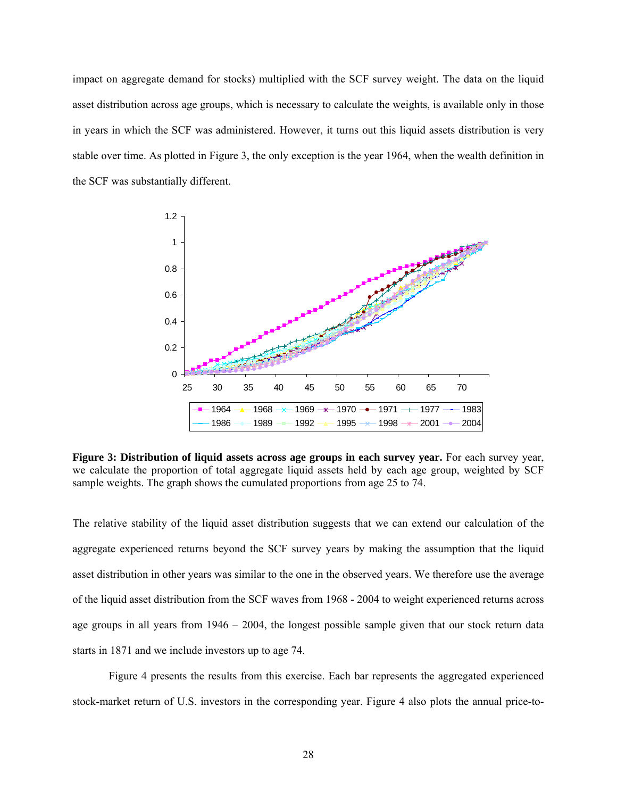impact on aggregate demand for stocks) multiplied with the SCF survey weight. The data on the liquid asset distribution across age groups, which is necessary to calculate the weights, is available only in those in years in which the SCF was administered. However, it turns out this liquid assets distribution is very stable over time. As plotted in Figure 3, the only exception is the year 1964, when the wealth definition in the SCF was substantially different.



**Figure 3: Distribution of liquid assets across age groups in each survey year.** For each survey year, we calculate the proportion of total aggregate liquid assets held by each age group, weighted by SCF sample weights. The graph shows the cumulated proportions from age 25 to 74.

The relative stability of the liquid asset distribution suggests that we can extend our calculation of the aggregate experienced returns beyond the SCF survey years by making the assumption that the liquid asset distribution in other years was similar to the one in the observed years. We therefore use the average of the liquid asset distribution from the SCF waves from 1968 - 2004 to weight experienced returns across age groups in all years from 1946 – 2004, the longest possible sample given that our stock return data starts in 1871 and we include investors up to age 74.

Figure 4 presents the results from this exercise. Each bar represents the aggregated experienced stock-market return of U.S. investors in the corresponding year. Figure 4 also plots the annual price-to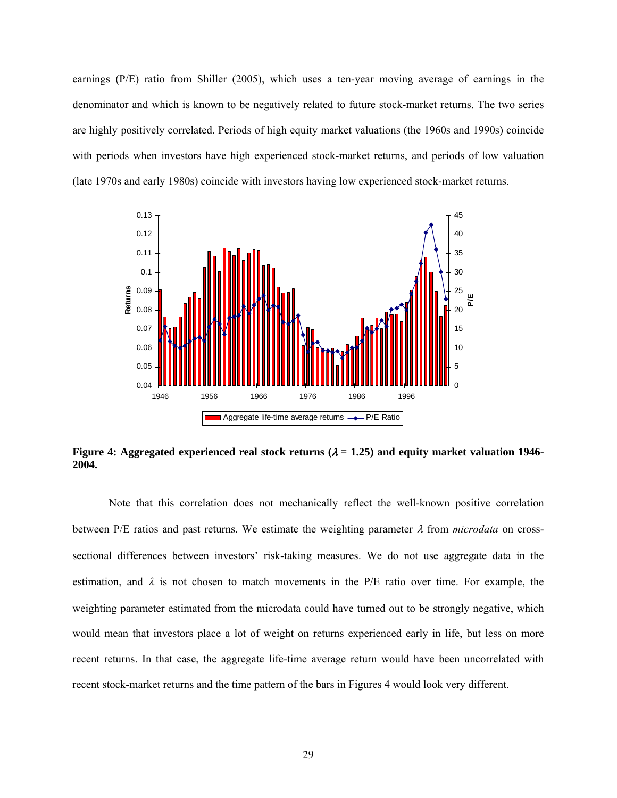earnings (P/E) ratio from Shiller (2005), which uses a ten-year moving average of earnings in the denominator and which is known to be negatively related to future stock-market returns. The two series are highly positively correlated. Periods of high equity market valuations (the 1960s and 1990s) coincide with periods when investors have high experienced stock-market returns, and periods of low valuation (late 1970s and early 1980s) coincide with investors having low experienced stock-market returns.



**Figure 4: Aggregated experienced real stock returns (** $\lambda = 1.25$ **) and equity market valuation 1946-2004.** 

Note that this correlation does not mechanically reflect the well-known positive correlation between P/E ratios and past returns. We estimate the weighting parameter  $\lambda$  from *microdata* on crosssectional differences between investors' risk-taking measures. We do not use aggregate data in the estimation, and  $\lambda$  is not chosen to match movements in the P/E ratio over time. For example, the weighting parameter estimated from the microdata could have turned out to be strongly negative, which would mean that investors place a lot of weight on returns experienced early in life, but less on more recent returns. In that case, the aggregate life-time average return would have been uncorrelated with recent stock-market returns and the time pattern of the bars in Figures 4 would look very different.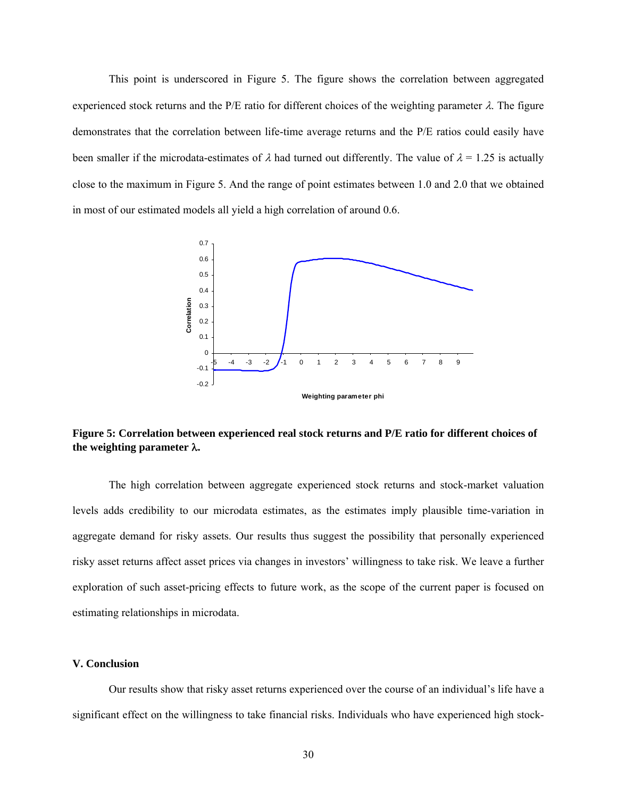This point is underscored in Figure 5. The figure shows the correlation between aggregated experienced stock returns and the P/E ratio for different choices of the weighting parameter  $\lambda$ . The figure demonstrates that the correlation between life-time average returns and the P/E ratios could easily have been smaller if the microdata-estimates of  $\lambda$  had turned out differently. The value of  $\lambda = 1.25$  is actually close to the maximum in Figure 5. And the range of point estimates between 1.0 and 2.0 that we obtained in most of our estimated models all yield a high correlation of around 0.6.



**Figure 5: Correlation between experienced real stock returns and P/E ratio for different choices of the weighting parameter** λ**.**

The high correlation between aggregate experienced stock returns and stock-market valuation levels adds credibility to our microdata estimates, as the estimates imply plausible time-variation in aggregate demand for risky assets. Our results thus suggest the possibility that personally experienced risky asset returns affect asset prices via changes in investors' willingness to take risk. We leave a further exploration of such asset-pricing effects to future work, as the scope of the current paper is focused on estimating relationships in microdata.

# **V. Conclusion**

Our results show that risky asset returns experienced over the course of an individual's life have a significant effect on the willingness to take financial risks. Individuals who have experienced high stock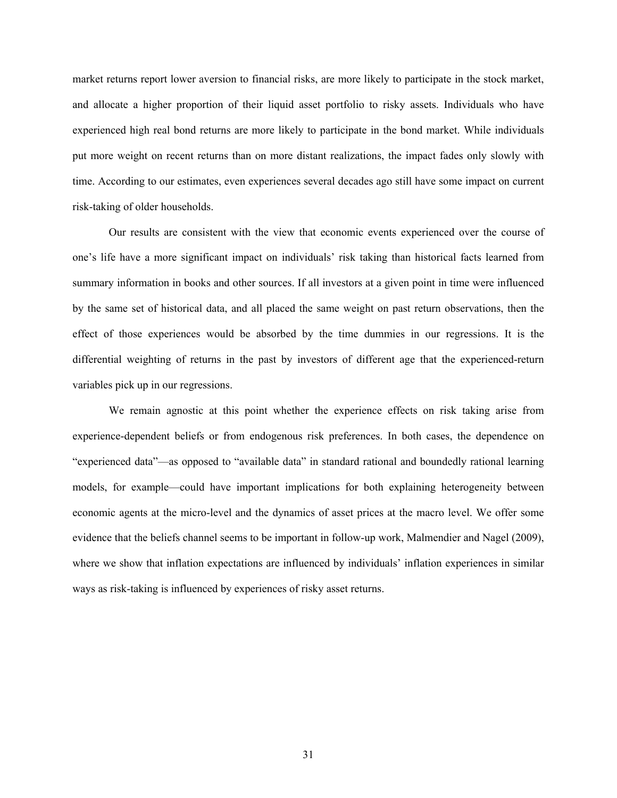market returns report lower aversion to financial risks, are more likely to participate in the stock market, and allocate a higher proportion of their liquid asset portfolio to risky assets. Individuals who have experienced high real bond returns are more likely to participate in the bond market. While individuals put more weight on recent returns than on more distant realizations, the impact fades only slowly with time. According to our estimates, even experiences several decades ago still have some impact on current risk-taking of older households.

Our results are consistent with the view that economic events experienced over the course of one's life have a more significant impact on individuals' risk taking than historical facts learned from summary information in books and other sources. If all investors at a given point in time were influenced by the same set of historical data, and all placed the same weight on past return observations, then the effect of those experiences would be absorbed by the time dummies in our regressions. It is the differential weighting of returns in the past by investors of different age that the experienced-return variables pick up in our regressions.

We remain agnostic at this point whether the experience effects on risk taking arise from experience-dependent beliefs or from endogenous risk preferences. In both cases, the dependence on "experienced data"—as opposed to "available data" in standard rational and boundedly rational learning models, for example—could have important implications for both explaining heterogeneity between economic agents at the micro-level and the dynamics of asset prices at the macro level. We offer some evidence that the beliefs channel seems to be important in follow-up work, Malmendier and Nagel (2009), where we show that inflation expectations are influenced by individuals' inflation experiences in similar ways as risk-taking is influenced by experiences of risky asset returns.

31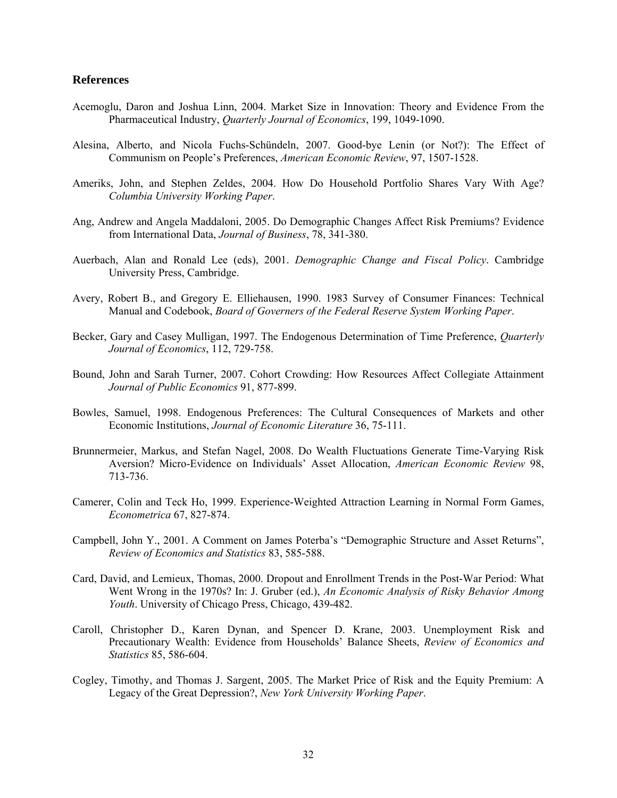## **References**

- Acemoglu, Daron and Joshua Linn, 2004. Market Size in Innovation: Theory and Evidence From the Pharmaceutical Industry, *Quarterly Journal of Economics*, 199, 1049-1090.
- Alesina, Alberto, and Nicola Fuchs-Schündeln, 2007. Good-bye Lenin (or Not?): The Effect of Communism on People's Preferences, *American Economic Review*, 97, 1507-1528.
- Ameriks, John, and Stephen Zeldes, 2004. How Do Household Portfolio Shares Vary With Age? *Columbia University Working Paper*.
- Ang, Andrew and Angela Maddaloni, 2005. Do Demographic Changes Affect Risk Premiums? Evidence from International Data, *Journal of Business*, 78, 341-380.
- Auerbach, Alan and Ronald Lee (eds), 2001. *Demographic Change and Fiscal Policy*. Cambridge University Press, Cambridge.
- Avery, Robert B., and Gregory E. Elliehausen, 1990. 1983 Survey of Consumer Finances: Technical Manual and Codebook, *Board of Governers of the Federal Reserve System Working Paper*.
- Becker, Gary and Casey Mulligan, 1997. The Endogenous Determination of Time Preference, *Quarterly Journal of Economics*, 112, 729-758.
- Bound, John and Sarah Turner, 2007. Cohort Crowding: How Resources Affect Collegiate Attainment *Journal of Public Economics* 91, 877-899.
- Bowles, Samuel, 1998. Endogenous Preferences: The Cultural Consequences of Markets and other Economic Institutions, *Journal of Economic Literature* 36, 75-111.
- Brunnermeier, Markus, and Stefan Nagel, 2008. Do Wealth Fluctuations Generate Time-Varying Risk Aversion? Micro-Evidence on Individuals' Asset Allocation, *American Economic Review* 98, 713-736.
- Camerer, Colin and Teck Ho, 1999. Experience-Weighted Attraction Learning in Normal Form Games, *Econometrica* 67, 827-874.
- Campbell, John Y., 2001. A Comment on James Poterba's "Demographic Structure and Asset Returns", *Review of Economics and Statistics* 83, 585-588.
- Card, David, and Lemieux, Thomas, 2000. Dropout and Enrollment Trends in the Post-War Period: What Went Wrong in the 1970s? In: J. Gruber (ed.), *An Economic Analysis of Risky Behavior Among Youth*. University of Chicago Press, Chicago, 439-482.
- Caroll, Christopher D., Karen Dynan, and Spencer D. Krane, 2003. Unemployment Risk and Precautionary Wealth: Evidence from Households' Balance Sheets, *Review of Economics and Statistics* 85, 586-604.
- Cogley, Timothy, and Thomas J. Sargent, 2005. The Market Price of Risk and the Equity Premium: A Legacy of the Great Depression?, *New York University Working Paper*.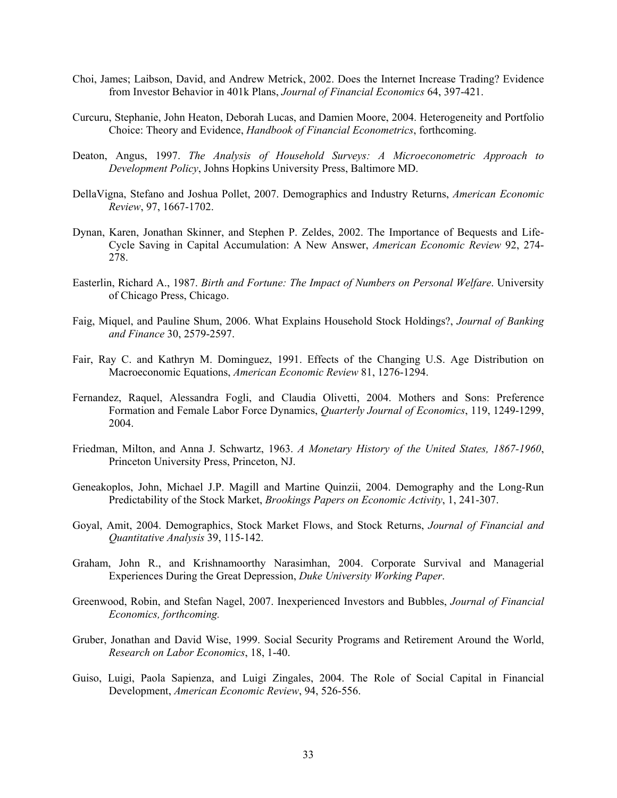- Choi, James; Laibson, David, and Andrew Metrick, 2002. Does the Internet Increase Trading? Evidence from Investor Behavior in 401k Plans, *Journal of Financial Economics* 64, 397-421.
- Curcuru, Stephanie, John Heaton, Deborah Lucas, and Damien Moore, 2004. Heterogeneity and Portfolio Choice: Theory and Evidence, *Handbook of Financial Econometrics*, forthcoming.
- Deaton, Angus, 1997. *The Analysis of Household Surveys: A Microeconometric Approach to Development Policy*, Johns Hopkins University Press, Baltimore MD.
- DellaVigna, Stefano and Joshua Pollet, 2007. Demographics and Industry Returns, *American Economic Review*, 97, 1667-1702.
- Dynan, Karen, Jonathan Skinner, and Stephen P. Zeldes, 2002. The Importance of Bequests and Life-Cycle Saving in Capital Accumulation: A New Answer, *American Economic Review* 92, 274- 278.
- Easterlin, Richard A., 1987. *Birth and Fortune: The Impact of Numbers on Personal Welfare*. University of Chicago Press, Chicago.
- Faig, Miquel, and Pauline Shum, 2006. What Explains Household Stock Holdings?, *Journal of Banking and Finance* 30, 2579-2597.
- Fair, Ray C. and Kathryn M. Dominguez, 1991. Effects of the Changing U.S. Age Distribution on Macroeconomic Equations, *American Economic Review* 81, 1276-1294.
- Fernandez, Raquel, Alessandra Fogli, and Claudia Olivetti, 2004. Mothers and Sons: Preference Formation and Female Labor Force Dynamics, *Quarterly Journal of Economics*, 119, 1249-1299, 2004.
- Friedman, Milton, and Anna J. Schwartz, 1963. *A Monetary History of the United States, 1867-1960*, Princeton University Press, Princeton, NJ.
- Geneakoplos, John, Michael J.P. Magill and Martine Quinzii, 2004. Demography and the Long-Run Predictability of the Stock Market, *Brookings Papers on Economic Activity*, 1, 241-307.
- Goyal, Amit, 2004. Demographics, Stock Market Flows, and Stock Returns, *Journal of Financial and Quantitative Analysis* 39, 115-142.
- Graham, John R., and Krishnamoorthy Narasimhan, 2004. Corporate Survival and Managerial Experiences During the Great Depression, *Duke University Working Paper*.
- Greenwood, Robin, and Stefan Nagel, 2007. Inexperienced Investors and Bubbles, *Journal of Financial Economics, forthcoming.*
- Gruber, Jonathan and David Wise, 1999. Social Security Programs and Retirement Around the World, *Research on Labor Economics*, 18, 1-40.
- Guiso, Luigi, Paola Sapienza, and Luigi Zingales, 2004. The Role of Social Capital in Financial Development, *American Economic Review*, 94, 526-556.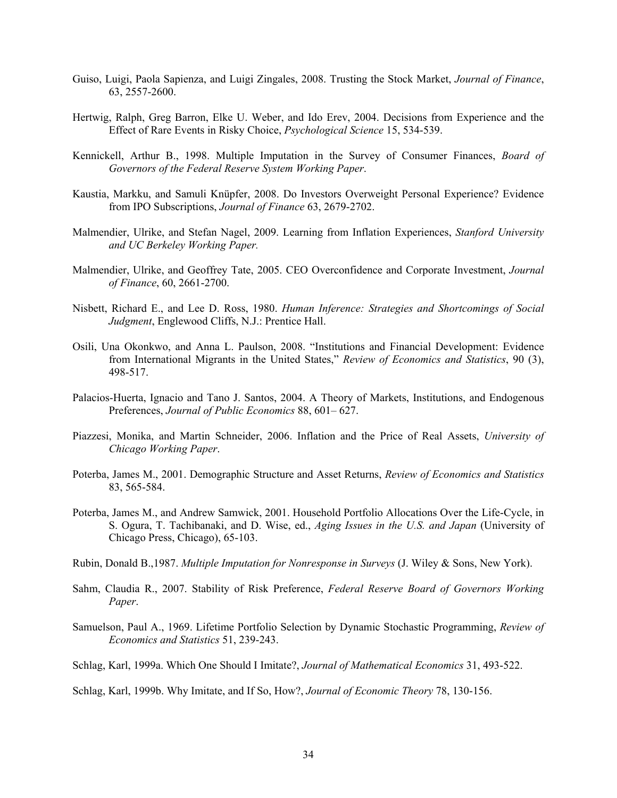- Guiso, Luigi, Paola Sapienza, and Luigi Zingales, 2008. Trusting the Stock Market, *Journal of Finance*, 63, 2557-2600.
- Hertwig, Ralph, Greg Barron, Elke U. Weber, and Ido Erev, 2004. Decisions from Experience and the Effect of Rare Events in Risky Choice, *Psychological Science* 15, 534-539.
- Kennickell, Arthur B., 1998. Multiple Imputation in the Survey of Consumer Finances, *Board of Governors of the Federal Reserve System Working Paper*.
- Kaustia, Markku, and Samuli Knüpfer, 2008. Do Investors Overweight Personal Experience? Evidence from IPO Subscriptions, *Journal of Finance* 63, 2679-2702.
- Malmendier, Ulrike, and Stefan Nagel, 2009. Learning from Inflation Experiences, *Stanford University and UC Berkeley Working Paper.*
- Malmendier, Ulrike, and Geoffrey Tate, 2005. CEO Overconfidence and Corporate Investment, *Journal of Finance*, 60, 2661-2700.
- Nisbett, Richard E., and Lee D. Ross, 1980. *Human Inference: Strategies and Shortcomings of Social Judgment*, Englewood Cliffs, N.J.: Prentice Hall.
- Osili, Una Okonkwo, and Anna L. Paulson, 2008. "Institutions and Financial Development: Evidence from International Migrants in the United States," *Review of Economics and Statistics*, 90 (3), 498-517.
- Palacios-Huerta, Ignacio and Tano J. Santos, 2004. A Theory of Markets, Institutions, and Endogenous Preferences, *Journal of Public Economics* 88, 601– 627.
- Piazzesi, Monika, and Martin Schneider, 2006. Inflation and the Price of Real Assets, *University of Chicago Working Paper*.
- Poterba, James M., 2001. Demographic Structure and Asset Returns, *Review of Economics and Statistics* 83, 565-584.
- Poterba, James M., and Andrew Samwick, 2001. Household Portfolio Allocations Over the Life-Cycle, in S. Ogura, T. Tachibanaki, and D. Wise, ed., *Aging Issues in the U.S. and Japan* (University of Chicago Press, Chicago), 65-103.
- Rubin, Donald B.,1987. *Multiple Imputation for Nonresponse in Surveys* (J. Wiley & Sons, New York).
- Sahm, Claudia R., 2007. Stability of Risk Preference, *Federal Reserve Board of Governors Working Paper*.
- Samuelson, Paul A., 1969. Lifetime Portfolio Selection by Dynamic Stochastic Programming, *Review of Economics and Statistics* 51, 239-243.
- Schlag, Karl, 1999a. Which One Should I Imitate?, *Journal of Mathematical Economics* 31, 493-522.

Schlag, Karl, 1999b. Why Imitate, and If So, How?, *Journal of Economic Theory* 78, 130-156.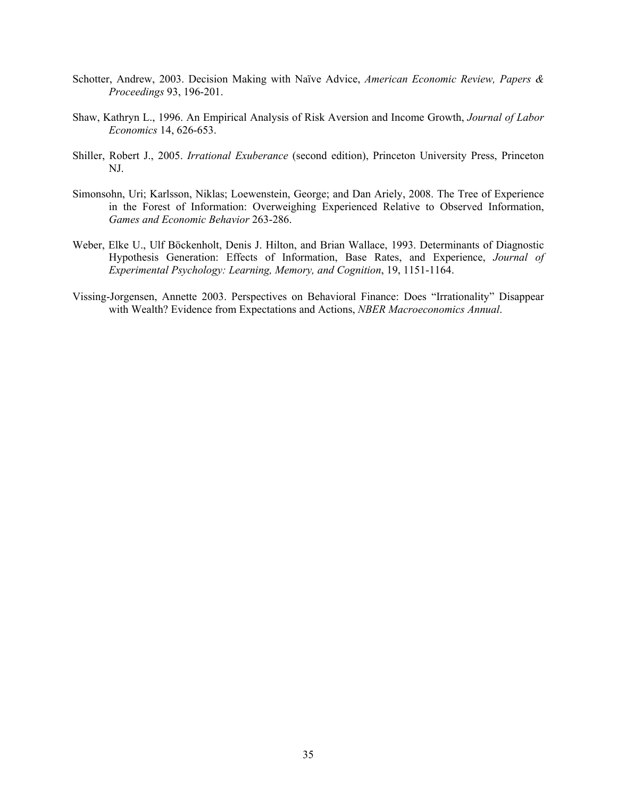- Schotter, Andrew, 2003. Decision Making with Naïve Advice, *American Economic Review, Papers & Proceedings* 93, 196-201.
- Shaw, Kathryn L., 1996. An Empirical Analysis of Risk Aversion and Income Growth, *Journal of Labor Economics* 14, 626-653.
- Shiller, Robert J., 2005. *Irrational Exuberance* (second edition), Princeton University Press, Princeton NJ.
- Simonsohn, Uri; Karlsson, Niklas; Loewenstein, George; and Dan Ariely, 2008. The Tree of Experience in the Forest of Information: Overweighing Experienced Relative to Observed Information, *Games and Economic Behavior* 263-286.
- Weber, Elke U., Ulf Böckenholt, Denis J. Hilton, and Brian Wallace, 1993. Determinants of Diagnostic Hypothesis Generation: Effects of Information, Base Rates, and Experience, *Journal of Experimental Psychology: Learning, Memory, and Cognition*, 19, 1151-1164.
- Vissing-Jorgensen, Annette 2003. Perspectives on Behavioral Finance: Does "Irrationality" Disappear with Wealth? Evidence from Expectations and Actions, *NBER Macroeconomics Annual*.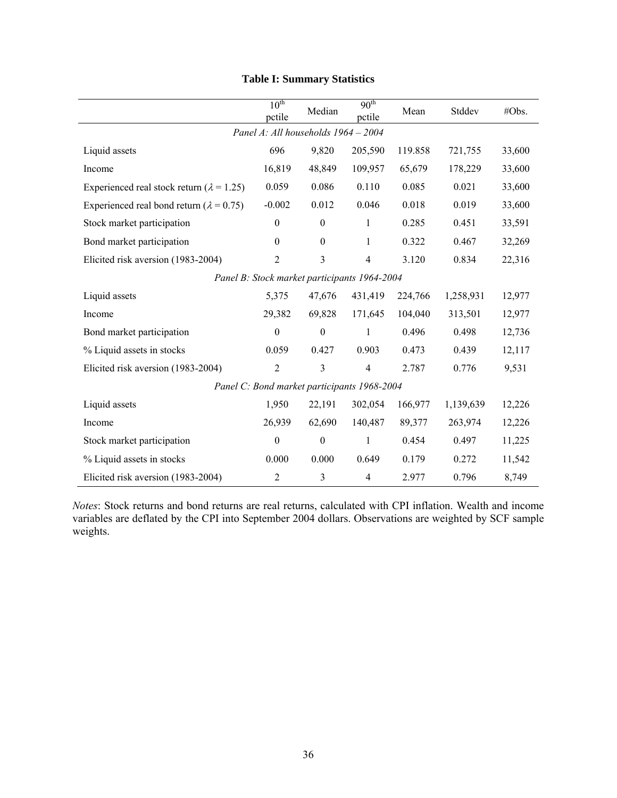|                                                   | $10^{\text{th}}$<br>pctile | Median                                       | 90 <sup>th</sup><br>pctile | Mean    | Stddev    | #Obs.  |
|---------------------------------------------------|----------------------------|----------------------------------------------|----------------------------|---------|-----------|--------|
|                                                   |                            | Panel A: All households 1964 - 2004          |                            |         |           |        |
| Liquid assets                                     | 696                        | 9,820                                        | 205,590                    | 119.858 | 721,755   | 33,600 |
| Income                                            | 16,819                     | 48,849                                       | 109,957                    | 65,679  | 178,229   | 33,600 |
| Experienced real stock return ( $\lambda$ = 1.25) | 0.059                      | 0.086                                        | 0.110                      | 0.085   | 0.021     | 33,600 |
| Experienced real bond return ( $\lambda$ = 0.75)  | $-0.002$                   | 0.012                                        | 0.046                      | 0.018   | 0.019     | 33,600 |
| Stock market participation                        | $\boldsymbol{0}$           | $\boldsymbol{0}$                             | 1                          | 0.285   | 0.451     | 33,591 |
| Bond market participation                         | $\boldsymbol{0}$           | $\boldsymbol{0}$                             | $\mathbf{1}$               | 0.322   | 0.467     | 32,269 |
| Elicited risk aversion (1983-2004)                | $\overline{2}$             | 3                                            | $\overline{4}$             | 3.120   | 0.834     | 22,316 |
|                                                   |                            | Panel B: Stock market participants 1964-2004 |                            |         |           |        |
| Liquid assets                                     | 5,375                      | 47,676                                       | 431,419                    | 224,766 | 1,258,931 | 12,977 |
| Income                                            | 29,382                     | 69,828                                       | 171,645                    | 104,040 | 313,501   | 12,977 |
| Bond market participation                         | $\boldsymbol{0}$           | $\boldsymbol{0}$                             | $\mathbf{1}$               | 0.496   | 0.498     | 12,736 |
| % Liquid assets in stocks                         | 0.059                      | 0.427                                        | 0.903                      | 0.473   | 0.439     | 12,117 |
| Elicited risk aversion (1983-2004)                | $\overline{2}$             | 3                                            | $\overline{4}$             | 2.787   | 0.776     | 9,531  |
|                                                   |                            | Panel C: Bond market participants 1968-2004  |                            |         |           |        |
| Liquid assets                                     | 1,950                      | 22,191                                       | 302,054                    | 166,977 | 1,139,639 | 12,226 |
| Income                                            | 26,939                     | 62,690                                       | 140,487                    | 89,377  | 263,974   | 12,226 |
| Stock market participation                        | $\mathbf{0}$               | $\boldsymbol{0}$                             | $\mathbf{1}$               | 0.454   | 0.497     | 11,225 |
| % Liquid assets in stocks                         | 0.000                      | 0.000                                        | 0.649                      | 0.179   | 0.272     | 11,542 |
| Elicited risk aversion (1983-2004)                | $\overline{2}$             | 3                                            | $\overline{4}$             | 2.977   | 0.796     | 8,749  |

# **Table I: Summary Statistics**

*Notes*: Stock returns and bond returns are real returns, calculated with CPI inflation. Wealth and income variables are deflated by the CPI into September 2004 dollars. Observations are weighted by SCF sample weights.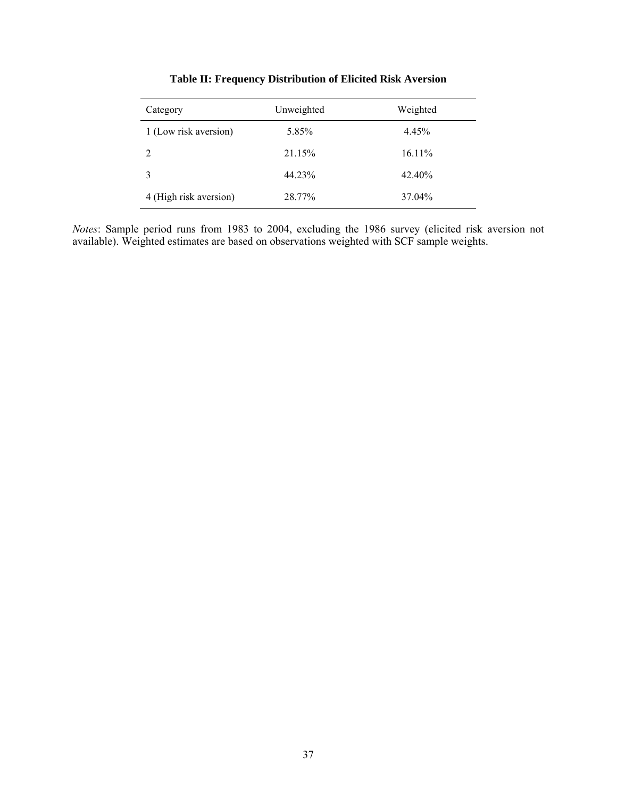| Category               | Unweighted | Weighted |
|------------------------|------------|----------|
| 1 (Low risk aversion)  | 5.85%      | 4.45%    |
| 2                      | 21.15%     | 16.11%   |
|                        | 44.23%     | 42.40%   |
| 4 (High risk aversion) | 28.77%     | 37.04%   |

**Table II: Frequency Distribution of Elicited Risk Aversion** 

*Notes*: Sample period runs from 1983 to 2004, excluding the 1986 survey (elicited risk aversion not available). Weighted estimates are based on observations weighted with SCF sample weights.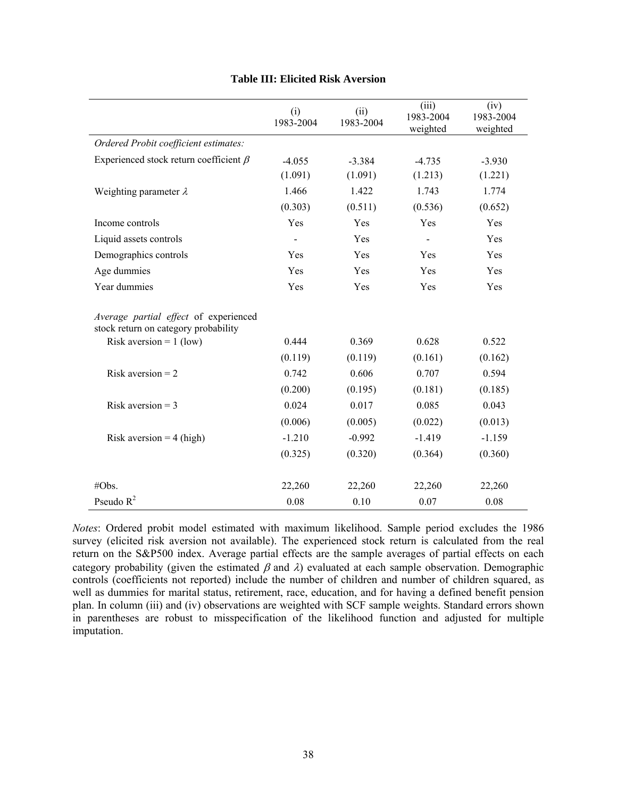|                                                                               | (i)<br>1983-2004 | (ii)<br>1983-2004 | (iii)<br>1983-2004<br>weighted | (iv)<br>1983-2004<br>weighted |
|-------------------------------------------------------------------------------|------------------|-------------------|--------------------------------|-------------------------------|
| Ordered Probit coefficient estimates:                                         |                  |                   |                                |                               |
| Experienced stock return coefficient $\beta$                                  | $-4.055$         | $-3.384$          | $-4.735$                       | $-3.930$                      |
|                                                                               | (1.091)          | (1.091)           | (1.213)                        | (1.221)                       |
| Weighting parameter $\lambda$                                                 | 1.466            | 1.422             | 1.743                          | 1.774                         |
|                                                                               | (0.303)          | (0.511)           | (0.536)                        | (0.652)                       |
| Income controls                                                               | Yes              | Yes               | Yes                            | Yes                           |
| Liquid assets controls                                                        |                  | Yes               |                                | Yes                           |
| Demographics controls                                                         | Yes              | Yes               | Yes                            | Yes                           |
| Age dummies                                                                   | Yes              | Yes               | Yes                            | Yes                           |
| Year dummies                                                                  | Yes              | Yes               | Yes                            | Yes                           |
| Average partial effect of experienced<br>stock return on category probability |                  |                   |                                |                               |
| Risk aversion = $1$ (low)                                                     | 0.444            | 0.369             | 0.628                          | 0.522                         |
|                                                                               | (0.119)          | (0.119)           | (0.161)                        | (0.162)                       |
| Risk aversion $= 2$                                                           | 0.742            | 0.606             | 0.707                          | 0.594                         |
|                                                                               | (0.200)          | (0.195)           | (0.181)                        | (0.185)                       |
| Risk aversion = $3$                                                           | 0.024            | 0.017             | 0.085                          | 0.043                         |
|                                                                               | (0.006)          | (0.005)           | (0.022)                        | (0.013)                       |
| Risk aversion = $4$ (high)                                                    | $-1.210$         | $-0.992$          | $-1.419$                       | $-1.159$                      |
|                                                                               | (0.325)          | (0.320)           | (0.364)                        | (0.360)                       |
| #Obs.                                                                         | 22,260           | 22,260            | 22,260                         | 22,260                        |
| Pseudo $R^2$                                                                  | 0.08             | 0.10              | 0.07                           | 0.08                          |

## **Table III: Elicited Risk Aversion**

*Notes*: Ordered probit model estimated with maximum likelihood. Sample period excludes the 1986 survey (elicited risk aversion not available). The experienced stock return is calculated from the real return on the S&P500 index. Average partial effects are the sample averages of partial effects on each category probability (given the estimated  $\beta$  and  $\lambda$ ) evaluated at each sample observation. Demographic controls (coefficients not reported) include the number of children and number of children squared, as well as dummies for marital status, retirement, race, education, and for having a defined benefit pension plan. In column (iii) and (iv) observations are weighted with SCF sample weights. Standard errors shown in parentheses are robust to misspecification of the likelihood function and adjusted for multiple imputation.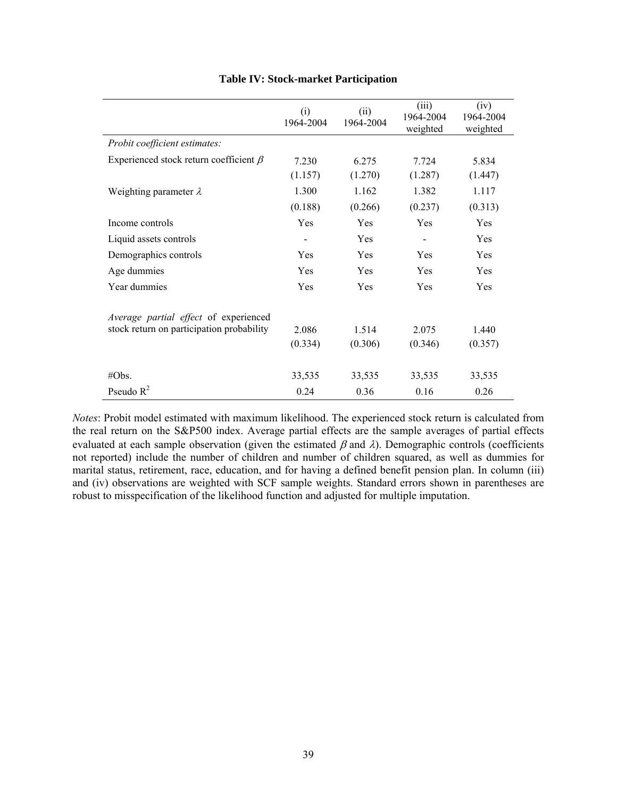|                                              | (i)<br>1964-2004 | (ii)<br>1964-2004 | (iii)<br>1964-2004<br>weighted | (iv)<br>1964-2004<br>weighted |
|----------------------------------------------|------------------|-------------------|--------------------------------|-------------------------------|
| Probit coefficient estimates:                |                  |                   |                                |                               |
| Experienced stock return coefficient $\beta$ | 7.230            | 6.275             | 7.724                          | 5.834                         |
|                                              | (1.157)          | (1.270)           | (1.287)                        | (1.447)                       |
| Weighting parameter $\lambda$                | 1.300            | 1.162             | 1.382                          | 1.117                         |
|                                              | (0.188)          | (0.266)           | (0.237)                        | (0.313)                       |
| Income controls                              | Yes              | Yes               | Yes                            | Yes                           |
| Liquid assets controls                       |                  | Yes               | -                              | Yes                           |
| Demographics controls                        | Yes              | Yes               | Yes                            | Yes                           |
| Age dummies                                  | Yes              | Yes               | Yes                            | Yes                           |
| Year dummies                                 | Yes              | Yes               | Yes                            | Yes                           |
| Average partial effect of experienced        |                  |                   |                                |                               |
| stock return on participation probability    | 2.086            | 1.514             | 2.075                          | 1.440                         |
|                                              | (0.334)          | (0.306)           | (0.346)                        | (0.357)                       |
| #Obs.                                        | 33,535           | 33,535            | 33,535                         | 33,535                        |
| Pseudo $R^2$                                 | 0.24             | 0.36              | 0.16                           | 0.26                          |

# **Table IV: Stock-market Participation**

*Notes*: Probit model estimated with maximum likelihood. The experienced stock return is calculated from the real return on the S&P500 index. Average partial effects are the sample averages of partial effects evaluated at each sample observation (given the estimated  $\beta$  and  $\lambda$ ). Demographic controls (coefficients not reported) include the number of children and number of children squared, as well as dummies for marital status, retirement, race, education, and for having a defined benefit pension plan. In column (iii) and (iv) observations are weighted with SCF sample weights. Standard errors shown in parentheses are robust to misspecification of the likelihood function and adjusted for multiple imputation.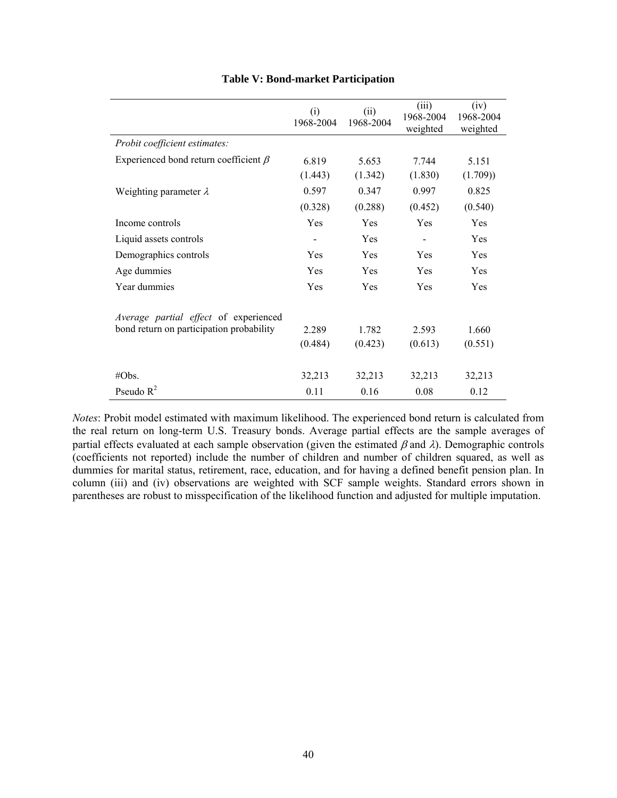|                                             | (i)<br>1968-2004 | (ii)<br>1968-2004 | (iii)<br>1968-2004<br>weighted | (iv)<br>1968-2004<br>weighted |
|---------------------------------------------|------------------|-------------------|--------------------------------|-------------------------------|
| Probit coefficient estimates:               |                  |                   |                                |                               |
| Experienced bond return coefficient $\beta$ | 6.819            | 5.653             | 7.744                          | 5.151                         |
|                                             | (1.443)          | (1.342)           | (1.830)                        | (1.709)                       |
| Weighting parameter $\lambda$               | 0.597            | 0.347             | 0.997                          | 0.825                         |
|                                             | (0.328)          | (0.288)           | (0.452)                        | (0.540)                       |
| Income controls                             | Yes              | Yes               | Yes                            | Yes                           |
| Liquid assets controls                      |                  | Yes               |                                | Yes                           |
| Demographics controls                       | Yes              | <b>Yes</b>        | Yes                            | Yes                           |
| Age dummies                                 | Yes              | <b>Yes</b>        | Yes                            | Yes                           |
| Year dummies                                | Yes              | Yes               | Yes                            | Yes                           |
| Average partial effect of experienced       |                  |                   |                                |                               |
| bond return on participation probability    | 2.289            | 1.782             | 2.593                          | 1.660                         |
|                                             | (0.484)          | (0.423)           | (0.613)                        | (0.551)                       |
| #Obs.                                       | 32,213           | 32,213            | 32,213                         | 32,213                        |
| Pseudo $R^2$                                | 0.11             | 0.16              | 0.08                           | 0.12                          |

# **Table V: Bond-market Participation**

*Notes*: Probit model estimated with maximum likelihood. The experienced bond return is calculated from the real return on long-term U.S. Treasury bonds. Average partial effects are the sample averages of partial effects evaluated at each sample observation (given the estimated  $\beta$  and  $\lambda$ ). Demographic controls (coefficients not reported) include the number of children and number of children squared, as well as dummies for marital status, retirement, race, education, and for having a defined benefit pension plan. In column (iii) and (iv) observations are weighted with SCF sample weights. Standard errors shown in parentheses are robust to misspecification of the likelihood function and adjusted for multiple imputation.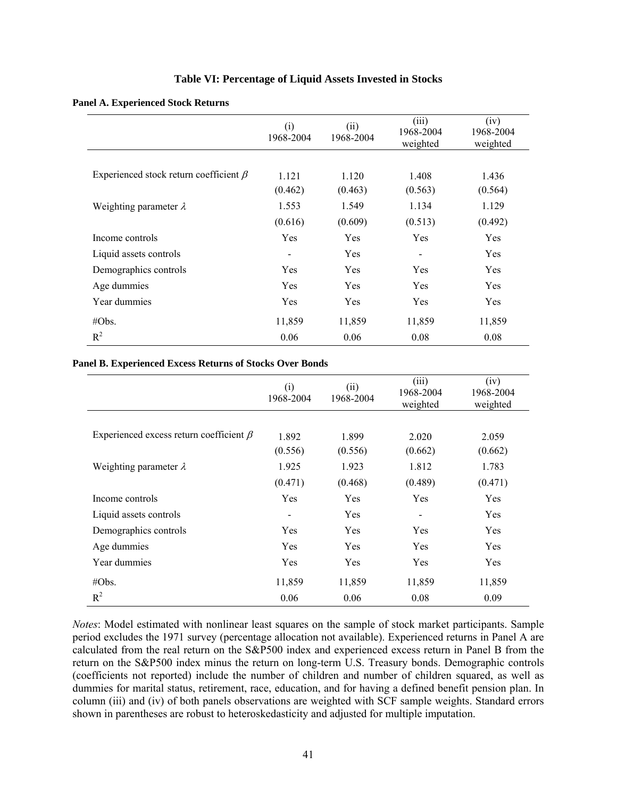## **Table VI: Percentage of Liquid Assets Invested in Stocks**

|                                              | (i)<br>1968-2004 | (ii)<br>1968-2004 | (iii)<br>1968-2004<br>weighted | (iv)<br>1968-2004<br>weighted |
|----------------------------------------------|------------------|-------------------|--------------------------------|-------------------------------|
|                                              |                  |                   |                                |                               |
| Experienced stock return coefficient $\beta$ | 1.121            | 1.120             | 1.408                          | 1.436                         |
|                                              | (0.462)          | (0.463)           | (0.563)                        | (0.564)                       |
| Weighting parameter $\lambda$                | 1.553            | 1.549             | 1.134                          | 1.129                         |
|                                              | (0.616)          | (0.609)           | (0.513)                        | (0.492)                       |
| Income controls                              | Yes              | Yes               | Yes                            | Yes                           |
| Liquid assets controls                       | $\blacksquare$   | Yes               |                                | Yes                           |
| Demographics controls                        | Yes              | Yes               | Yes                            | Yes                           |
| Age dummies                                  | Yes              | Yes               | Yes                            | Yes                           |
| Year dummies                                 | Yes              | Yes               | Yes                            | Yes                           |
| $\#Obs.$                                     | 11,859           | 11,859            | 11,859                         | 11,859                        |
| $R^2$                                        | 0.06             | 0.06              | 0.08                           | 0.08                          |

#### **Panel B. Experienced Excess Returns of Stocks Over Bonds**

|                                               | (i)<br>1968-2004 | (ii)<br>1968-2004 | (iii)<br>1968-2004<br>weighted | (iv)<br>1968-2004<br>weighted |
|-----------------------------------------------|------------------|-------------------|--------------------------------|-------------------------------|
|                                               |                  |                   |                                |                               |
| Experienced excess return coefficient $\beta$ | 1.892            | 1.899             | 2.020                          | 2.059                         |
|                                               | (0.556)          | (0.556)           | (0.662)                        | (0.662)                       |
| Weighting parameter $\lambda$                 | 1.925            | 1.923             | 1.812                          | 1.783                         |
|                                               | (0.471)          | (0.468)           | (0.489)                        | (0.471)                       |
| Income controls                               | Yes              | Yes               | Yes                            | Yes                           |
| Liquid assets controls                        | $\blacksquare$   | Yes               | $\qquad \qquad \blacksquare$   | Yes                           |
| Demographics controls                         | Yes              | Yes               | Yes                            | Yes                           |
| Age dummies                                   | Yes              | Yes               | Yes                            | Yes                           |
| Year dummies                                  | Yes              | Yes               | Yes                            | Yes                           |
| $\#Obs.$                                      | 11,859           | 11,859            | 11,859                         | 11,859                        |
| $R^2$                                         | 0.06             | 0.06              | 0.08                           | 0.09                          |

*Notes*: Model estimated with nonlinear least squares on the sample of stock market participants. Sample period excludes the 1971 survey (percentage allocation not available). Experienced returns in Panel A are calculated from the real return on the S&P500 index and experienced excess return in Panel B from the return on the S&P500 index minus the return on long-term U.S. Treasury bonds. Demographic controls (coefficients not reported) include the number of children and number of children squared, as well as dummies for marital status, retirement, race, education, and for having a defined benefit pension plan. In column (iii) and (iv) of both panels observations are weighted with SCF sample weights. Standard errors shown in parentheses are robust to heteroskedasticity and adjusted for multiple imputation.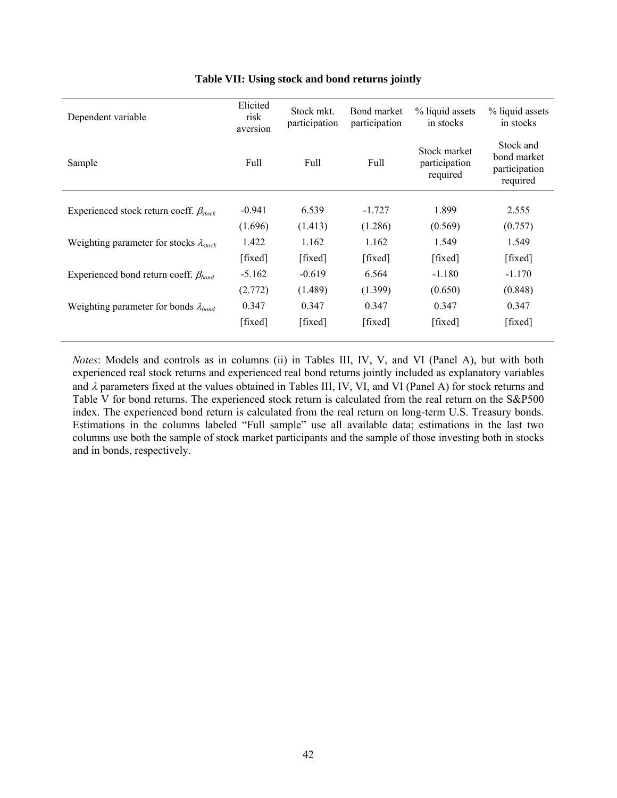| Dependent variable                               | Elicited<br>risk<br>aversion | Stock mkt.<br>participation | Bond market<br>participation | % liquid assets<br>in stocks              | % liquid assets<br>in stocks                          |
|--------------------------------------------------|------------------------------|-----------------------------|------------------------------|-------------------------------------------|-------------------------------------------------------|
| Sample                                           | Full                         | Full                        | Full                         | Stock market<br>participation<br>required | Stock and<br>bond market<br>participation<br>required |
| Experienced stock return coeff. $\beta_{stock}$  | $-0.941$                     | 6.539                       | $-1.727$                     | 1.899                                     | 2.555                                                 |
|                                                  | (1.696)                      | (1.413)                     | (1.286)                      | (0.569)                                   | (0.757)                                               |
| Weighting parameter for stocks $\lambda_{stock}$ | 1.422                        | 1.162                       | 1.162                        | 1.549                                     | 1.549                                                 |
|                                                  | [fixed]                      | [fixed]                     | [fixed]                      | [fixed]                                   | [fixed]                                               |
| Experienced bond return coeff. $\beta_{bond}$    | $-5.162$                     | $-0.619$                    | 6.564                        | $-1.180$                                  | $-1.170$                                              |
|                                                  | (2.772)                      | (1.489)                     | (1.399)                      | (0.650)                                   | (0.848)                                               |
| Weighting parameter for bonds $\lambda_{bond}$   | 0.347                        | 0.347                       | 0.347                        | 0.347                                     | 0.347                                                 |
|                                                  | [fixed]                      | [fixed]                     | [fixed]                      | [fixed]                                   | [fixed]                                               |

# **Table VII: Using stock and bond returns jointly**

*Notes*: Models and controls as in columns (ii) in Tables III, IV, V, and VI (Panel A), but with both experienced real stock returns and experienced real bond returns jointly included as explanatory variables and  $\lambda$  parameters fixed at the values obtained in Tables III, IV, VI, and VI (Panel A) for stock returns and Table V for bond returns. The experienced stock return is calculated from the real return on the S&P500 index. The experienced bond return is calculated from the real return on long-term U.S. Treasury bonds. Estimations in the columns labeled "Full sample" use all available data; estimations in the last two columns use both the sample of stock market participants and the sample of those investing both in stocks and in bonds, respectively.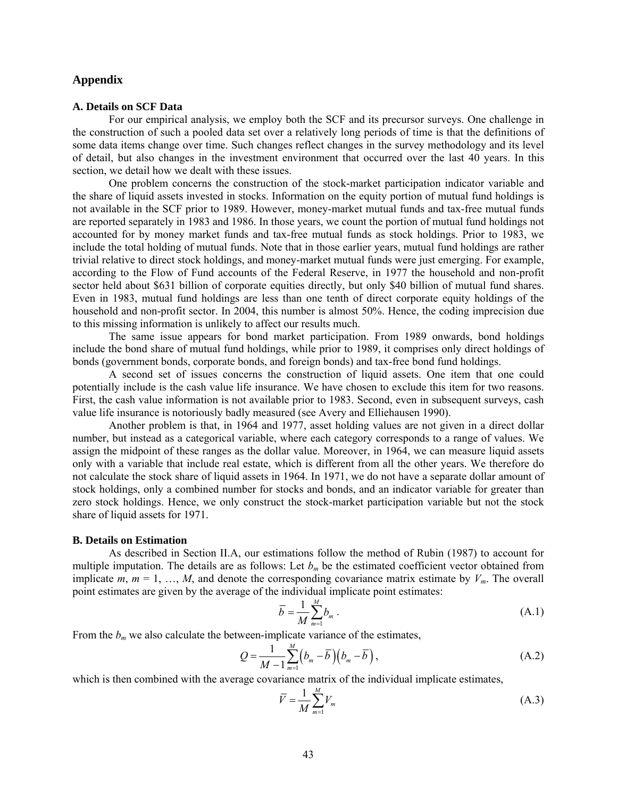# **Appendix**

### **A. Details on SCF Data**

For our empirical analysis, we employ both the SCF and its precursor surveys. One challenge in the construction of such a pooled data set over a relatively long periods of time is that the definitions of some data items change over time. Such changes reflect changes in the survey methodology and its level of detail, but also changes in the investment environment that occurred over the last 40 years. In this section, we detail how we dealt with these issues.

One problem concerns the construction of the stock-market participation indicator variable and the share of liquid assets invested in stocks. Information on the equity portion of mutual fund holdings is not available in the SCF prior to 1989. However, money-market mutual funds and tax-free mutual funds are reported separately in 1983 and 1986. In those years, we count the portion of mutual fund holdings not accounted for by money market funds and tax-free mutual funds as stock holdings. Prior to 1983, we include the total holding of mutual funds. Note that in those earlier years, mutual fund holdings are rather trivial relative to direct stock holdings, and money-market mutual funds were just emerging. For example, according to the Flow of Fund accounts of the Federal Reserve, in 1977 the household and non-profit sector held about \$631 billion of corporate equities directly, but only \$40 billion of mutual fund shares. Even in 1983, mutual fund holdings are less than one tenth of direct corporate equity holdings of the household and non-profit sector. In 2004, this number is almost 50%. Hence, the coding imprecision due to this missing information is unlikely to affect our results much.

The same issue appears for bond market participation. From 1989 onwards, bond holdings include the bond share of mutual fund holdings, while prior to 1989, it comprises only direct holdings of bonds (government bonds, corporate bonds, and foreign bonds) and tax-free bond fund holdings.

A second set of issues concerns the construction of liquid assets. One item that one could potentially include is the cash value life insurance. We have chosen to exclude this item for two reasons. First, the cash value information is not available prior to 1983. Second, even in subsequent surveys, cash value life insurance is notoriously badly measured (see Avery and Elliehausen 1990).

Another problem is that, in 1964 and 1977, asset holding values are not given in a direct dollar number, but instead as a categorical variable, where each category corresponds to a range of values. We assign the midpoint of these ranges as the dollar value. Moreover, in 1964, we can measure liquid assets only with a variable that include real estate, which is different from all the other years. We therefore do not calculate the stock share of liquid assets in 1964. In 1971, we do not have a separate dollar amount of stock holdings, only a combined number for stocks and bonds, and an indicator variable for greater than zero stock holdings. Hence, we only construct the stock-market participation variable but not the stock share of liquid assets for 1971.

#### **B. Details on Estimation**

As described in Section II.A, our estimations follow the method of Rubin (1987) to account for multiple imputation. The details are as follows: Let  $b<sub>m</sub>$  be the estimated coefficient vector obtained from implicate *m*,  $m = 1, ..., M$ , and denote the corresponding covariance matrix estimate by  $V_m$ . The overall point estimates are given by the average of the individual implicate point estimates:

$$
\overline{b} = \frac{1}{M} \sum_{m=1}^{M} b_m \tag{A.1}
$$

From the  $b_m$  we also calculate the between-implicate variance of the estimates,

$$
Q = \frac{1}{M-1} \sum_{m=1}^{M} \left( b_m - \overline{b} \right) \left( b_m - \overline{b} \right), \tag{A.2}
$$

which is then combined with the average covariance matrix of the individual implicate estimates,

$$
\overline{V} = \frac{1}{M} \sum_{m=1}^{M} V_m \tag{A.3}
$$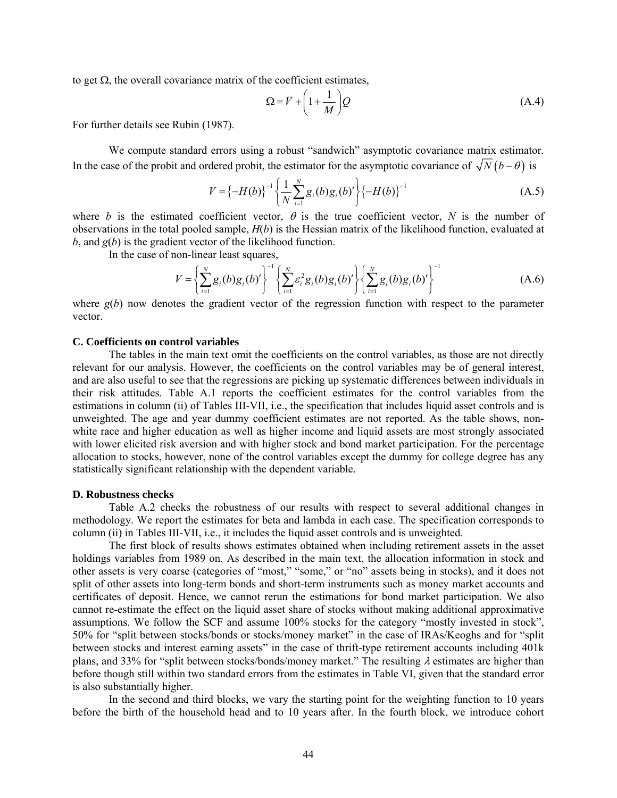to get Ω, the overall covariance matrix of the coefficient estimates,

$$
\Omega = \overline{V} + \left(1 + \frac{1}{M}\right)Q\tag{A.4}
$$

For further details see Rubin (1987).

We compute standard errors using a robust "sandwich" asymptotic covariance matrix estimator. In the case of the probit and ordered probit, the estimator for the asymptotic covariance of  $\sqrt{N}(b-\theta)$  is

$$
V = \{-H(b)\}^{-1} \left\{ \frac{1}{N} \sum_{i=1}^{N} g_i(b) g_i(b)' \right\} \{-H(b)\}^{-1}
$$
 (A.5)

where *b* is the estimated coefficient vector,  $\theta$  is the true coefficient vector, *N* is the number of observations in the total pooled sample, *H*(*b*) is the Hessian matrix of the likelihood function, evaluated at *b*, and *g*(*b*) is the gradient vector of the likelihood function.

In the case of non-linear least squares,

$$
V = \left\{ \sum_{i=1}^{N} g_i(b) g_i(b)' \right\}^{-1} \left\{ \sum_{i=1}^{N} \varepsilon_i^2 g_i(b) g_i(b)' \right\} \left\{ \sum_{i=1}^{N} g_i(b) g_i(b)' \right\}^{-1}
$$
 (A.6)

where  $g(b)$  now denotes the gradient vector of the regression function with respect to the parameter vector.

#### **C. Coefficients on control variables**

The tables in the main text omit the coefficients on the control variables, as those are not directly relevant for our analysis. However, the coefficients on the control variables may be of general interest, and are also useful to see that the regressions are picking up systematic differences between individuals in their risk attitudes. Table A.1 reports the coefficient estimates for the control variables from the estimations in column (ii) of Tables III-VII, i.e., the specification that includes liquid asset controls and is unweighted. The age and year dummy coefficient estimates are not reported. As the table shows, nonwhite race and higher education as well as higher income and liquid assets are most strongly associated with lower elicited risk aversion and with higher stock and bond market participation. For the percentage allocation to stocks, however, none of the control variables except the dummy for college degree has any statistically significant relationship with the dependent variable.

#### **D. Robustness checks**

Table A.2 checks the robustness of our results with respect to several additional changes in methodology. We report the estimates for beta and lambda in each case. The specification corresponds to column (ii) in Tables III-VII, i.e., it includes the liquid asset controls and is unweighted.

The first block of results shows estimates obtained when including retirement assets in the asset holdings variables from 1989 on. As described in the main text, the allocation information in stock and other assets is very coarse (categories of "most," "some," or "no" assets being in stocks), and it does not split of other assets into long-term bonds and short-term instruments such as money market accounts and certificates of deposit. Hence, we cannot rerun the estimations for bond market participation. We also cannot re-estimate the effect on the liquid asset share of stocks without making additional approximative assumptions. We follow the SCF and assume 100% stocks for the category "mostly invested in stock", 50% for "split between stocks/bonds or stocks/money market" in the case of IRAs/Keoghs and for "split between stocks and interest earning assets" in the case of thrift-type retirement accounts including 401k plans, and 33% for "split between stocks/bonds/money market." The resulting λ estimates are higher than before though still within two standard errors from the estimates in Table VI, given that the standard error is also substantially higher.

In the second and third blocks, we vary the starting point for the weighting function to 10 years before the birth of the household head and to 10 years after. In the fourth block, we introduce cohort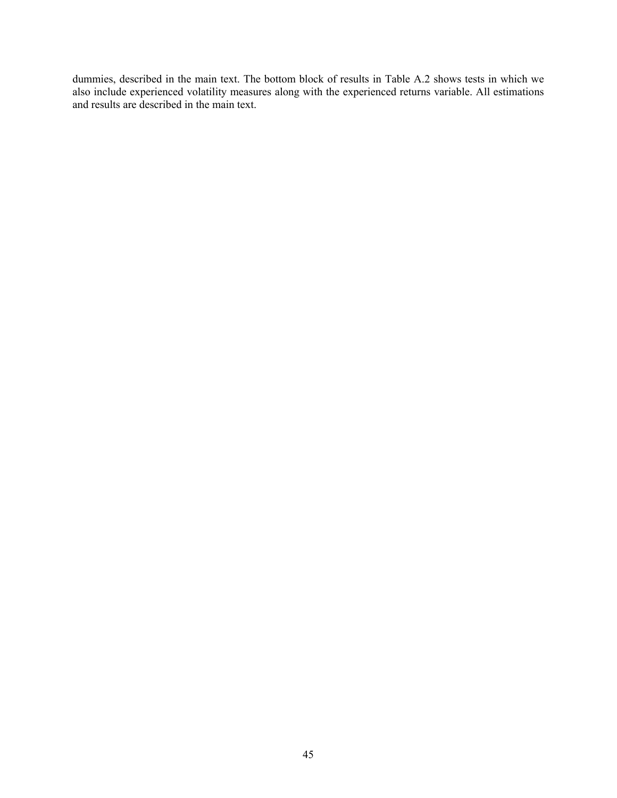dummies, described in the main text. The bottom block of results in Table A.2 shows tests in which we also include experienced volatility measures along with the experienced returns variable. All estimations and results are described in the main text.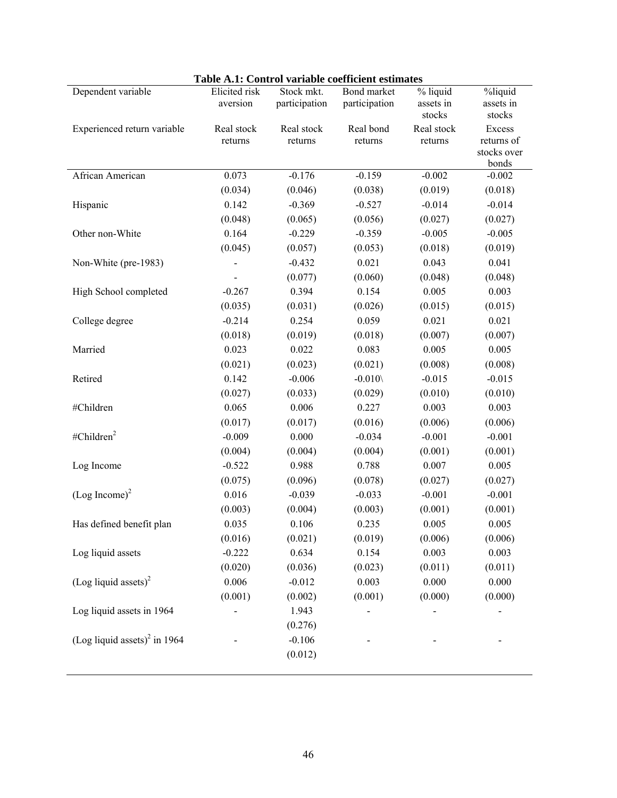|                                          | Table A.T. Control variable coefficient estimates |                             |                              |                                 |                                              |
|------------------------------------------|---------------------------------------------------|-----------------------------|------------------------------|---------------------------------|----------------------------------------------|
| Dependent variable                       | Elicited risk<br>aversion                         | Stock mkt.<br>participation | Bond market<br>participation | % liquid<br>assets in<br>stocks | %liquid<br>assets in<br>stocks               |
| Experienced return variable              | Real stock<br>returns                             | Real stock<br>returns       | Real bond<br>returns         | Real stock<br>returns           | Excess<br>returns of<br>stocks over<br>bonds |
| African American                         | 0.073                                             | $-0.176$                    | $-0.159$                     | $-0.002$                        | $-0.002$                                     |
|                                          | (0.034)                                           | (0.046)                     | (0.038)                      | (0.019)                         | (0.018)                                      |
| Hispanic                                 | 0.142                                             | $-0.369$                    | $-0.527$                     | $-0.014$                        | $-0.014$                                     |
|                                          | (0.048)                                           | (0.065)                     | (0.056)                      | (0.027)                         | (0.027)                                      |
| Other non-White                          | 0.164                                             | $-0.229$                    | $-0.359$                     | $-0.005$                        | $-0.005$                                     |
|                                          | (0.045)                                           | (0.057)                     | (0.053)                      | (0.018)                         | (0.019)                                      |
| Non-White (pre-1983)                     |                                                   | $-0.432$                    | 0.021                        | 0.043                           | 0.041                                        |
|                                          |                                                   | (0.077)                     | (0.060)                      | (0.048)                         | (0.048)                                      |
| High School completed                    | $-0.267$                                          | 0.394                       | 0.154                        | 0.005                           | 0.003                                        |
|                                          | (0.035)                                           | (0.031)                     | (0.026)                      | (0.015)                         | (0.015)                                      |
| College degree                           | $-0.214$                                          | 0.254                       | 0.059                        | 0.021                           | 0.021                                        |
|                                          | (0.018)                                           | (0.019)                     | (0.018)                      | (0.007)                         | (0.007)                                      |
| Married                                  | 0.023                                             | 0.022                       | 0.083                        | 0.005                           | 0.005                                        |
|                                          | (0.021)                                           | (0.023)                     | (0.021)                      | (0.008)                         | (0.008)                                      |
| Retired                                  | 0.142                                             | $-0.006$                    | $-0.010$                     | $-0.015$                        | $-0.015$                                     |
|                                          | (0.027)                                           | (0.033)                     | (0.029)                      | (0.010)                         | (0.010)                                      |
| #Children                                | 0.065                                             | 0.006                       | 0.227                        | 0.003                           | 0.003                                        |
|                                          | (0.017)                                           | (0.017)                     | (0.016)                      | (0.006)                         | (0.006)                                      |
| #Children $2$                            | $-0.009$                                          | 0.000                       | $-0.034$                     | $-0.001$                        | $-0.001$                                     |
|                                          | (0.004)                                           | (0.004)                     | (0.004)                      | (0.001)                         | (0.001)                                      |
| Log Income                               | $-0.522$                                          | 0.988                       | 0.788                        | 0.007                           | 0.005                                        |
|                                          | (0.075)                                           | (0.096)                     | (0.078)                      | (0.027)                         | (0.027)                                      |
| $(Log Income)^2$                         | 0.016                                             | $-0.039$                    | $-0.033$                     | $-0.001$                        | $-0.001$                                     |
|                                          | (0.003)                                           | (0.004)                     | (0.003)                      | (0.001)                         | (0.001)                                      |
| Has defined benefit plan                 | 0.035                                             | 0.106                       | 0.235                        | 0.005                           | 0.005                                        |
|                                          | (0.016)                                           | (0.021)                     | (0.019)                      | (0.006)                         | (0.006)                                      |
| Log liquid assets                        | $-0.222$                                          | 0.634                       | 0.154                        | 0.003                           | 0.003                                        |
|                                          | (0.020)                                           | (0.036)                     | (0.023)                      | (0.011)                         | (0.011)                                      |
| (Log liquid assets) <sup>2</sup>         | 0.006                                             | $-0.012$                    | 0.003                        | 0.000                           | 0.000                                        |
|                                          | (0.001)                                           | (0.002)                     | (0.001)                      | (0.000)                         | (0.000)                                      |
| Log liquid assets in 1964                |                                                   | 1.943                       |                              |                                 |                                              |
|                                          |                                                   | (0.276)                     |                              |                                 |                                              |
| (Log liquid assets) <sup>2</sup> in 1964 |                                                   | $-0.106$                    |                              |                                 |                                              |
|                                          |                                                   | (0.012)                     |                              |                                 |                                              |

# **Table A.1: Control variable coefficient estimates**